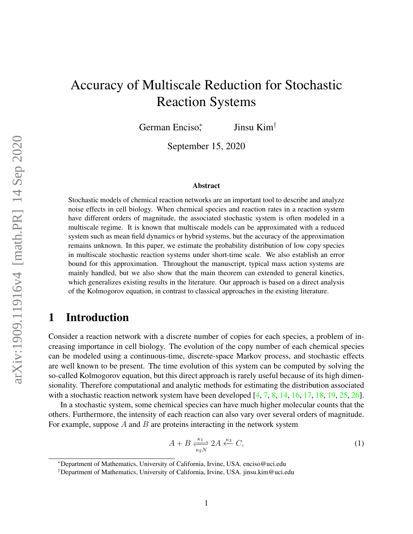# Accuracy of Multiscale Reduction for Stochastic Reaction Systems

German Enciso<sup>\*</sup> , Jinsu Kim†

September 15, 2020

#### Abstract

Stochastic models of chemical reaction networks are an important tool to describe and analyze noise effects in cell biology. When chemical species and reaction rates in a reaction system have different orders of magnitude, the associated stochastic system is often modeled in a multiscale regime. It is known that multiscale models can be approximated with a reduced system such as mean field dynamics or hybrid systems, but the accuracy of the approximation remains unknown. In this paper, we estimate the probability distribution of low copy species in multiscale stochastic reaction systems under short-time scale. We also establish an error bound for this approximation. Throughout the manuscript, typical mass action systems are mainly handled, but we also show that the main theorem can extended to general kinetics, which generalizes existing results in the literature. Our approach is based on a direct analysis of the Kolmogorov equation, in contrast to classical approaches in the existing literature.

### 1 Introduction

Consider a reaction network with a discrete number of copies for each species, a problem of increasing importance in cell biology. The evolution of the copy number of each chemical species can be modeled using a continuous-time, discrete-space Markov process, and stochastic effects are well known to be present. The time evolution of this system can be computed by solving the so-called Kolmogorov equation, but this direct approach is rarely useful because of its high dimensionality. Therefore computational and analytic methods for estimating the distribution associated with a stochastic reaction network system have been developed  $[4, 7, 8, 14, 16, 17, 18, 19, 25, 26]$  $[4, 7, 8, 14, 16, 17, 18, 19, 25, 26]$  $[4, 7, 8, 14, 16, 17, 18, 19, 25, 26]$  $[4, 7, 8, 14, 16, 17, 18, 19, 25, 26]$  $[4, 7, 8, 14, 16, 17, 18, 19, 25, 26]$  $[4, 7, 8, 14, 16, 17, 18, 19, 25, 26]$  $[4, 7, 8, 14, 16, 17, 18, 19, 25, 26]$  $[4, 7, 8, 14, 16, 17, 18, 19, 25, 26]$  $[4, 7, 8, 14, 16, 17, 18, 19, 25, 26]$  $[4, 7, 8, 14, 16, 17, 18, 19, 25, 26]$  $[4, 7, 8, 14, 16, 17, 18, 19, 25, 26]$  $[4, 7, 8, 14, 16, 17, 18, 19, 25, 26]$  $[4, 7, 8, 14, 16, 17, 18, 19, 25, 26]$  $[4, 7, 8, 14, 16, 17, 18, 19, 25, 26]$  $[4, 7, 8, 14, 16, 17, 18, 19, 25, 26]$  $[4, 7, 8, 14, 16, 17, 18, 19, 25, 26]$  $[4, 7, 8, 14, 16, 17, 18, 19, 25, 26]$  $[4, 7, 8, 14, 16, 17, 18, 19, 25, 26]$  $[4, 7, 8, 14, 16, 17, 18, 19, 25, 26]$ .

In a stochastic system, some chemical species can have much higher molecular counts that the others. Furthermore, the intensity of each reaction can also vary over several orders of magnitude. For example, suppose  $A$  and  $B$  are proteins interacting in the network system

<span id="page-0-0"></span>
$$
A + B \frac{\kappa_1}{\kappa_2 N} 2A \stackrel{\kappa_3}{\leftarrow} C,\tag{1}
$$

<sup>∗</sup>Department of Mathematics, University of California, Irvine, USA. enciso@uci.edu

<sup>†</sup>Department of Mathematics, University of California, Irvine, USA. jinsu.kim@uci.edu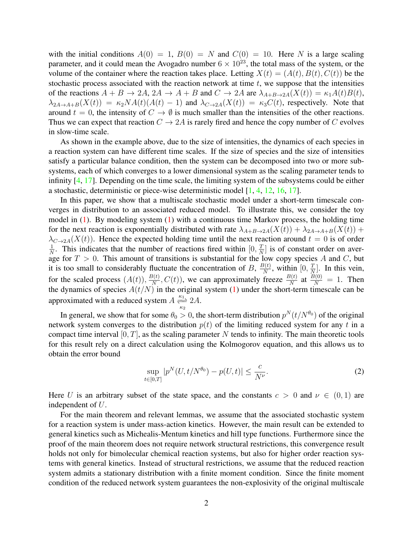with the initial conditions  $A(0) = 1$ ,  $B(0) = N$  and  $C(0) = 10$ . Here N is a large scaling parameter, and it could mean the Avogadro number  $6 \times 10^{23}$ , the total mass of the system, or the volume of the container where the reaction takes place. Letting  $X(t) = (A(t), B(t), C(t))$  be the stochastic process associated with the reaction network at time  $t$ , we suppose that the intensities of the reactions  $A + B \rightarrow 2A$ ,  $2A \rightarrow A + B$  and  $C \rightarrow 2A$  are  $\lambda_{A+B\rightarrow 2A}(X(t)) = \kappa_1 A(t)B(t)$ ,  $\lambda_{2A\rightarrow A+B}(X(t)) = \kappa_2 NA(t) (A(t) - 1)$  and  $\lambda_{C\rightarrow 2A}(X(t)) = \kappa_3 C(t)$ , respectively. Note that around  $t = 0$ , the intensity of  $C \rightarrow \emptyset$  is much smaller than the intensities of the other reactions. Thus we can expect that reaction  $C \rightarrow 2A$  is rarely fired and hence the copy number of C evolves in slow-time scale.

As shown in the example above, due to the size of intensities, the dynamics of each species in a reaction system can have different time scales. If the size of species and the size of intensities satisfy a particular balance condition, then the system can be decomposed into two or more subsystems, each of which converges to a lower dimensional system as the scaling parameter tends to infinity [\[4,](#page-26-0) [17\]](#page-27-2). Depending on the time scale, the limiting system of the subsystems could be either a stochastic, deterministic or piece-wise deterministic model [\[1,](#page-26-3) [4,](#page-26-0) [12,](#page-26-4) [16,](#page-27-1) [17\]](#page-27-2).

In this paper, we show that a multiscale stochastic model under a short-term timescale converges in distribution to an associated reduced model. To illustrate this, we consider the toy model in  $(1)$ . By modeling system  $(1)$  with a continuous time Markov process, the holding time for the next reaction is exponentially distributed with rate  $\lambda_{A+B\rightarrow 2A}(X(t)) + \lambda_{2A\rightarrow A+B}(X(t))$  +  $\lambda_{C\to 2A}(X(t))$ . Hence the expected holding time until the next reaction around  $t=0$  is of order 1  $\frac{1}{N}$ . This indicates that the number of reactions fired within  $[0, \frac{T}{N}]$  $\left[\frac{T}{N}\right]$  is of constant order on average for  $T > 0$ . This amount of transitions is substantial for the low copy species A and C, but it is too small to considerably fluctuate the concentration of B,  $\frac{B(t)}{N}$  $\frac{\partial(t)}{\partial N}$ , within  $[0, \frac{T}{N}]$  $\frac{T}{N}$ . In this vein, for the scaled process  $(A(t)), \frac{B(t)}{N}$  $\frac{B(t)}{N}$ ,  $C(t)$ ), we can approximately freeze  $\frac{B(t)}{N}$  at  $\frac{B(0)}{N} = 1$ . Then the dynamics of species  $A(t/N)$  in the original system [\(1\)](#page-0-0) under the short-term timescale can be approximated with a reduced system  $A \frac{\kappa_1}{\kappa_2} 2A$ .

In general, we show that for some  $\theta_0 > 0$ , the short-term distribution  $p^N(t/N^{\theta_0})$  of the original network system converges to the distribution  $p(t)$  of the limiting reduced system for any t in a compact time interval  $[0, T]$ , as the scaling parameter N tends to infinity. The main theoretic tools for this result rely on a direct calculation using the Kolmogorov equation, and this allows us to obtain the error bound

<span id="page-1-0"></span>
$$
\sup_{t \in [0,T]} |p^N(U, t/N^{\theta_0}) - p(U, t)| \le \frac{c}{N^{\nu}}.
$$
\n(2)

Here U is an arbitrary subset of the state space, and the constants  $c > 0$  and  $\nu \in (0,1)$  are independent of U.

For the main theorem and relevant lemmas, we assume that the associated stochastic system for a reaction system is under mass-action kinetics. However, the main result can be extended to general kinetics such as Michealis-Mentum kinetics and hill type functions. Furthermore since the proof of the main theorem does not require network structural restrictions, this convergence result holds not only for bimolecular chemical reaction systems, but also for higher order reaction systems with general kinetics. Instead of structural restrictions, we assume that the reduced reaction system admits a stationary distribution with a finite moment condition. Since the finite moment condition of the reduced network system guarantees the non-explosivity of the original multiscale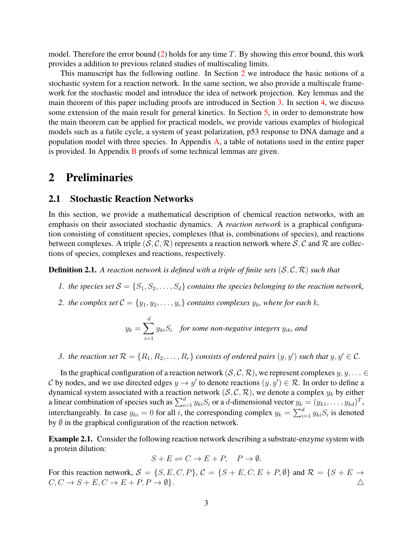model. Therefore the error bound  $(2)$  holds for any time T. By showing this error bound, this work provides a addition to previous related studies of multiscaling limits.

This manuscript has the following outline. In Section [2](#page-2-0) we introduce the basic notions of a stochastic system for a reaction network. In the same section, we also provide a multiscale framework for the stochastic model and introduce the idea of network projection. Key lemmas and the main theorem of this paper including proofs are introduced in Section [3.](#page-7-0) In section [4,](#page-15-0) we discuss some extension of the main result for general kinetics. In Section [5,](#page-16-0) in order to demonstrate how the main theorem can be applied for practical models, we provide various examples of biological models such as a futile cycle, a system of yeast polarization, p53 response to DNA damage and a population model with three species. In Appendix [A,](#page-22-0) a table of notations used in the entire paper is provided. In Appendix [B](#page-22-1) proofs of some technical lemmas are given.

### <span id="page-2-0"></span>2 Preliminaries

#### 2.1 Stochastic Reaction Networks

In this section, we provide a mathematical description of chemical reaction networks, with an emphasis on their associated stochastic dynamics. A *reaction network* is a graphical configuration consisting of constituent species, complexes (that is, combinations of species), and reactions between complexes. A triple  $(S, \mathcal{C}, \mathcal{R})$  represents a reaction network where  $S, \mathcal{C}$  and  $\mathcal{R}$  are collections of species, complexes and reactions, respectively.

**Definition 2.1.** A reaction network is defined with a triple of finite sets  $(S, \mathcal{C}, \mathcal{R})$  such that

- *1. the species set*  $S = \{S_1, S_2, \ldots, S_d\}$  *contains the species belonging to the reaction network,*
- *2. the complex set*  $C = \{y_1, y_2, \ldots, y_c\}$  *contains complexes*  $y_k$ *, where for each k,*

$$
y_k = \sum_{i=1}^d y_{ki} S_i
$$
 for some non-negative integers  $y_{ik}$ , and

*3.* the reaction set  $\mathcal{R} = \{R_1, R_2, \ldots, R_r\}$  consists of ordered pairs  $(y, y')$  such that  $y, y' \in \mathcal{C}$ .

In the graphical configuration of a reaction network  $(S, \mathcal{C}, \mathcal{R})$ , we represent complexes  $y, y, ... \in$ C by nodes, and we use directed edges  $y \to y'$  to denote reactions  $(y, y') \in \mathcal{R}$ . In order to define a dynamical system associated with a reaction network  $(S, C, R)$ , we denote a complex  $y_k$  by either a linear combination of species such as  $\sum_{i=1}^{d} y_{ki} S_i$  or a d-dimensional vector  $y_k = (y_{k1}, \ldots, y_{kd})^T$ , interchangeably. In case  $y_{ki} = 0$  for all i, the corresponding complex  $y_k = \sum_{i=1}^d y_{ki} S_i$  is denoted by  $\emptyset$  in the graphical configuration of the reaction network.

Example 2.1. Consider the following reaction network describing a substrate-enzyme system with a protein dilution:

$$
S + E \rightleftharpoons C \rightarrow E + P, \quad P \rightarrow \emptyset.
$$

For this reaction network,  $S = \{S, E, C, P\}$ ,  $C = \{S + E, C, E + P, \emptyset\}$  and  $\mathcal{R} = \{S + E \to$  $C, C \rightarrow S + E, C \rightarrow E + P, P \rightarrow \emptyset$ .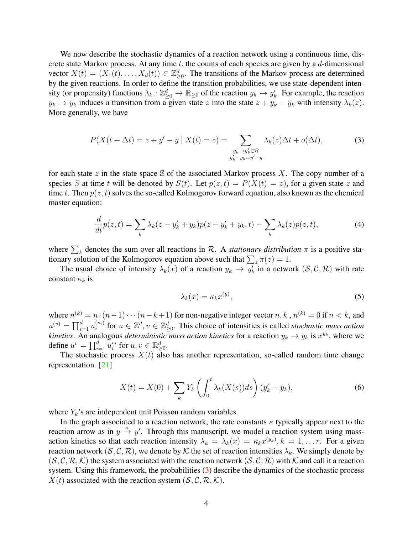We now describe the stochastic dynamics of a reaction network using a continuous time, discrete state Markov process. At any time  $t$ , the counts of each species are given by a  $d$ -dimensional vector  $X(t) = (X_1(t), \ldots, X_d(t)) \in \mathbb{Z}_{\geq 0}^d$ . The transitions of the Markov process are determined by the given reactions. In order to define the transition probabilities, we use state-dependent intensity (or propensity) functions  $\lambda_k : \mathbb{Z}_{\geq 0}^d \to \mathbb{R}_{\geq 0}$  of the reaction  $y_k \to y'_k$ . For example, the reaction  $y_k \to y_k$  induces a transition from a given state z into the state  $z + y_k - y_k$  with intensity  $\lambda_k(z)$ . More generally, we have

$$
P(X(t + \Delta t) = z + y' - y \mid X(t) = z) = \sum_{\substack{y_k \to y'_k \in \mathcal{R} \\ y'_k - y_k = y' - y}} \lambda_k(z) \Delta t + o(\Delta t),\tag{3}
$$

for each state z in the state space  $\mathcal S$  of the associated Markov process X. The copy number of a species S at time t will be denoted by  $S(t)$ . Let  $p(z, t) = P(X(t) = z)$ , for a given state z and time t. Then  $p(z, t)$  solves the so-called Kolmogorov forward equation, also known as the chemical master equation:

$$
\frac{d}{dt}p(z,t) = \sum_{k} \lambda_k (z - y'_k + y_k)p(z - y'_k + y_k, t) - \sum_{k} \lambda_k(z)p(z,t),
$$
\n(4)

where  $\sum_k$  denotes the sum over all reactions in R. A *stationary distribution*  $\pi$  is a positive stationary solution of the Kolmogorov equation above such that  $\sum_{z} \pi(z) = 1$ .

The usual choice of intensity  $\lambda_k(x)$  of a reaction  $y_k \to y'_k$  in a network  $(S, \mathcal{C}, \mathcal{R})$  with rate constant  $\kappa_k$  is

<span id="page-3-3"></span><span id="page-3-2"></span><span id="page-3-1"></span><span id="page-3-0"></span>
$$
\lambda_k(x) = \kappa_k x^{(y)},\tag{5}
$$

where  $n^{(k)} = n \cdot (n-1) \cdots (n-k+1)$  for non-negative integer vector  $n, k, n^{(k)} = 0$  if  $n < k$ , and  $u^{(v)} = \prod_{i=1}^d u_i^{(v_i)}$  $e_i^{(v_i)}$  for  $u \in \mathbb{Z}^d$ ,  $v \in \mathbb{Z}^d_{\geq 0}$ . This choice of intensities is called *stochastic mass action kinetics*. An analogous *deterministic mass action kinetics* for a reaction  $y_k \to y_k$  is  $x^{y_k}$ , where we define  $u^v = \prod_{i=1}^d u_i^{v_i}$  for  $u, v \in \mathbb{R}_{\geq 0}^d$ .

The stochastic process  $X(t)$  also has another representation, so-called random time change representation. [\[21\]](#page-27-7)

$$
X(t) = X(0) + \sum_{k} Y_k \left( \int_0^t \lambda_k(X(s))ds \right) (y'_k - y_k), \tag{6}
$$

where  $Y_k$ 's are independent unit Poisson random variables.

In the graph associated to a reaction network, the rate constants  $\kappa$  typically appear next to the reaction arrow as in  $y \stackrel{\kappa}{\rightarrow} y'$ . Through this manuscript, we model a reaction system using massaction kinetics so that each reaction intensity  $\lambda_k = \lambda_k(x) = \kappa_k x^{(y_k)}$ ,  $k = 1, \dots r$ . For a given reaction network  $(S, \mathcal{C}, \mathcal{R})$ , we denote by K the set of reaction intensities  $\lambda_k$ . We simply denote by  $(S, \mathcal{C}, \mathcal{R}, \mathcal{K})$  the system associated with the reaction network  $(S, \mathcal{C}, \mathcal{R})$  with K and call it a reaction system. Using this framework, the probabilities [\(3\)](#page-3-0) describe the dynamics of the stochastic process  $X(t)$  associated with the reaction system  $(S, \mathcal{C}, \mathcal{R}, \mathcal{K})$ .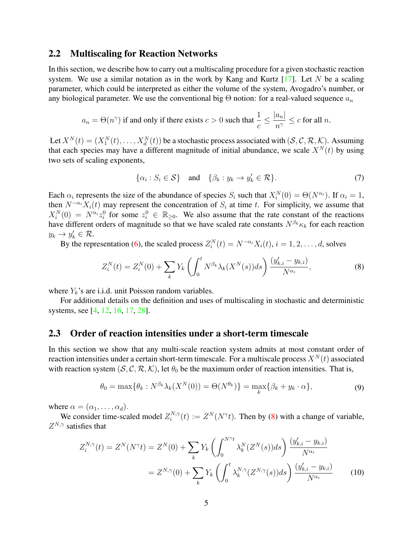#### 2.2 Multiscaling for Reaction Networks

In this section, we describe how to carry out a multiscaling procedure for a given stochastic reaction system. We use a similar notation as in the work by Kang and Kurtz  $[17]$ . Let N be a scaling parameter, which could be interpreted as either the volume of the system, Avogadro's number, or any biological parameter. We use the conventional big  $\Theta$  notion: for a real-valued sequence  $a_n$ 

$$
a_n = \Theta(n^{\gamma})
$$
 if and only if there exists  $c > 0$  such that  $\frac{1}{c} \le \frac{|a_n|}{n^{\gamma}} \le c$  for all n.

Let  $X^N(t)=(X_1^N(t),\ldots,X_d^N(t))$  be a stochastic process associated with  $(S,\mathcal{C},\mathcal{R},\mathcal{K})$ . Assuming that each species may have a different magnitude of initial abundance, we scale  $X^N(t)$  by using two sets of scaling exponents,

<span id="page-4-0"></span>
$$
\{\alpha_i : S_i \in \mathcal{S}\} \quad \text{and} \quad \{\beta_k : y_k \to y_k' \in \mathcal{R}\}.
$$
 (7)

Each  $\alpha_i$  represents the size of the abundance of species  $S_i$  such that  $X_i^N(0) = \Theta(N^{\alpha_i})$ . If  $\alpha_i = 1$ , then  $N^{-\alpha_i}X_i(t)$  may represent the concentration of  $S_i$  at time t. For simplicity, we assume that  $X_i^N(0) = N^{\alpha_i} z_i^0$  for some  $z_i^0 \in \mathbb{R}_{\geq 0}$ . We also assume that the rate constant of the reactions have different orders of magnitude so that we have scaled rate constants  $N^{\beta_k} \kappa_k$  for each reaction  $y_k \to y'_k \in \mathcal{R}$ .

By the representation [\(6\)](#page-3-1), the scaled process  $Z_i^N(t) = N^{-\alpha_i} X_i(t)$ ,  $i = 1, 2, ..., d$ , solves

$$
Z_i^N(t) = Z_i^N(0) + \sum_k Y_k \left( \int_0^t N^{\beta_k} \lambda_k(X^N(s)) ds \right) \frac{(y'_{k,i} - y_{k,i})}{N^{\alpha_i}}, \tag{8}
$$

where  $Y_k$ 's are i.i.d. unit Poisson random variables.

For additional details on the definition and uses of multiscaling in stochastic and deterministic systems, see [\[4,](#page-26-0) [12,](#page-26-4) [16,](#page-27-1) [17,](#page-27-2) [28\]](#page-27-8).

### 2.3 Order of reaction intensities under a short-term timescale

In this section we show that any multi-scale reaction system admits at most constant order of reaction intensities under a certain short-term timescale. For a multiscale process  $X^N(t)$  associated with reaction system  $(S, C, R, \mathcal{K})$ , let  $\theta_0$  be the maximum order of reaction intensities. That is,

<span id="page-4-2"></span><span id="page-4-1"></span>
$$
\theta_0 = \max\{\theta_k : N^{\beta_k} \lambda_k(X^N(0)) = \Theta(N^{\theta_k})\} = \max_k \{\beta_k + y_k \cdot \alpha\},\tag{9}
$$

where  $\alpha = (\alpha_1, \ldots, \alpha_d)$ .

We consider time-scaled model  $Z_i^{N,\gamma}$  $i^{N,\gamma}(t) := Z^N(N^{\gamma}t)$ . Then by [\(8\)](#page-4-0) with a change of variable,  $Z^{N,\gamma}$  satisfies that

$$
Z_i^{N,\gamma}(t) = Z^N(N^{\gamma}t) = Z^N(0) + \sum_k Y_k \left( \int_0^{N^{\gamma}t} \lambda_k^N(Z^N(s))ds \right) \frac{(y'_{k,i} - y_{k,i})}{N^{\alpha_i}}
$$
  
=  $Z^{N,\gamma}(0) + \sum_k Y_k \left( \int_0^t \lambda_k^{N,\gamma}(Z^{N,\gamma}(s))ds \right) \frac{(y'_{k,i} - y_{k,i})}{N^{\alpha_i}}$  (10)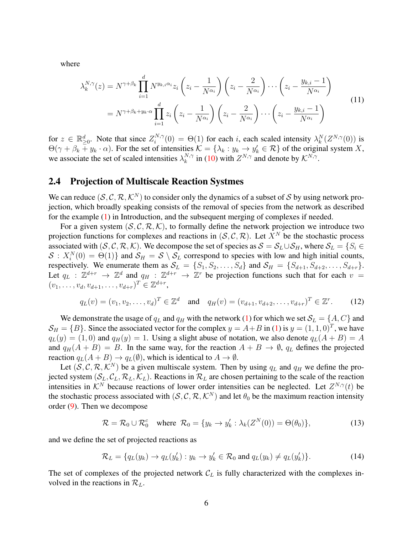where

<span id="page-5-0"></span>
$$
\lambda_k^{N,\gamma}(z) = N^{\gamma+\beta_k} \prod_{i=1}^d N^{y_{k,i}\alpha_i} z_i \left(z_i - \frac{1}{N^{\alpha_i}}\right) \left(z_i - \frac{2}{N^{\alpha_i}}\right) \cdots \left(z_i - \frac{y_{k,i}-1}{N^{\alpha_i}}\right)
$$

$$
= N^{\gamma+\beta_k+y_k\cdot\alpha} \prod_{i=1}^d z_i \left(z_i - \frac{1}{N^{\alpha_i}}\right) \left(z_i - \frac{2}{N^{\alpha_i}}\right) \cdots \left(z_i - \frac{y_{k,i}-1}{N^{\alpha_i}}\right)
$$
(11)

for  $z \in \mathbb{R}_{\geq 0}^d$ . Note that since  $Z_i^{N,\gamma}$  $i_N^{(N,\gamma)}(0) = \Theta(1)$  for each *i*, each scaled intensity  $\lambda_k^N(Z^{N,\gamma}(0))$  is  $\Theta(\gamma + \beta_k \mp y_k \cdot \alpha)$ . For the set of intensities  $\mathcal{K} = {\lambda_k : y_k \to y'_k \in \mathcal{R}}$  of the original system X, we associate the set of scaled intensities  $\lambda_k^{N,\gamma}$  $k^{N,\gamma}$  in [\(10\)](#page-4-1) with  $Z^{N,\gamma}$  and denote by  $\mathcal{K}^{N,\gamma}$ .

#### <span id="page-5-1"></span>2.4 Projection of Multiscale Reaction Systmes

We can reduce  $(S, C, R, K^N)$  to consider only the dynamics of a subset of S by using network projection, which broadly speaking consists of the removal of species from the network as described for the example [\(1\)](#page-0-0) in Introduction, and the subsequent merging of complexes if needed.

For a given system  $(S, C, \mathcal{R}, \mathcal{K})$ , to formally define the network projection we introduce two projection functions for complexes and reactions in  $(S, \mathcal{C}, \mathcal{R})$ . Let  $X^N$  be the stochastic process associated with  $(S, C, R, K)$ . We decompose the set of species as  $S = S_L \cup S_H$ , where  $S_L = \{S_i \in S_H\}$  $S: X_i^N(0) = \Theta(1)$  and  $S_H = S \setminus S_L$  correspond to species with low and high initial counts, respectively. We enumerate them as  $S_L = \{S_1, S_2, \ldots, S_d\}$  and  $S_H = \{S_{d+1}, S_{d+2}, \ldots, S_{d+r}\}.$ Let  $q_L$  :  $\mathbb{Z}^{d+r} \to \mathbb{Z}^d$  and  $q_H$  :  $\mathbb{Z}^{d+r} \to \mathbb{Z}^r$  be projection functions such that for each  $v =$  $(v_1, \ldots, v_d, v_{d+1}, \ldots, v_{d+r})^T \in \mathbb{Z}^{d+r},$ 

$$
q_L(v) = (v_1, v_2, \dots, v_d)^T \in \mathbb{Z}^d \text{ and } q_H(v) = (v_{d+1}, v_{d+2}, \dots, v_{d+r})^T \in \mathbb{Z}^r. \tag{12}
$$

We demonstrate the usage of  $q_L$  and  $q_H$  with the network [\(1\)](#page-0-0) for which we set  $S_L = \{A, C\}$  and  $\mathcal{S}_H = \{B\}$ . Since the associated vector for the complex  $y = A + B$  in [\(1\)](#page-0-0) is  $y = (1, 1, 0)^T$ , we have  $q_L(y) = (1, 0)$  and  $q_H(y) = 1$ . Using a slight abuse of notation, we also denote  $q_L(A + B) = A$ and  $q_H(A + B) = B$ . In the same way, for the reaction  $A + B \rightarrow \emptyset$ ,  $q_L$  defines the projected reaction  $q_L(A + B) \to q_L(\emptyset)$ , which is identical to  $A \to \emptyset$ .

Let  $(S, C, R, K^N)$  be a given multiscale system. Then by using  $q_L$  and  $q_H$  we define the projected system  $(S_L, C_L, R_L, K_L)$ . Reactions in  $R_L$  are chosen pertaining to the scale of the reaction intensities in  $\mathcal{K}^N$  because reactions of lower order intensities can be neglected. Let  $Z^{N,\gamma}(t)$  be the stochastic process associated with  $(S, C, R, K^N)$  and let  $\theta_0$  be the maximum reaction intensity order [\(9\)](#page-4-2). Then we decompose

<span id="page-5-2"></span>
$$
\mathcal{R} = \mathcal{R}_0 \cup \mathcal{R}_0^c \quad \text{where} \quad \mathcal{R}_0 = \{ y_k \to y'_k : \lambda_k(Z^N(0)) = \Theta(\theta_0) \}, \tag{13}
$$

and we define the set of projected reactions as

$$
\mathcal{R}_L = \{q_L(y_k) \to q_L(y'_k) : y_k \to y'_k \in \mathcal{R}_0 \text{ and } q_L(y_k) \neq q_L(y'_k)\}.
$$
 (14)

The set of complexes of the projected network  $\mathcal{C}_L$  is fully characterized with the complexes involved in the reactions in  $\mathcal{R}_L$ .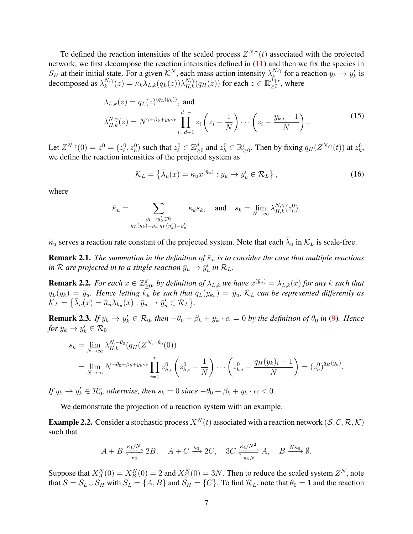To defined the reaction intensities of the scaled process  $Z^{N,\gamma}(t)$  associated with the projected network, we first decompose the reaction intensities defined in [\(11\)](#page-5-0) and then we fix the species in  $S_H$  at their initial state. For a given  $\mathcal{K}^N$ , each mass-action intensity  $\lambda_k^{N,\gamma}$  $k^{N,\gamma}$  for a reaction  $y_k \to y'_k$  is decomposed as  $\lambda_k^{N,\gamma}$  $k_{k}^{N,\gamma}(z) = \kappa_k \overline{\lambda}_{L,k}(q_L(z)) \lambda_{H,k}^{N,\gamma}(q_H(z))$  for each  $z \in \mathbb{R}_{\geq 0}^{d+r}$ , where

$$
\lambda_{L,k}(z) = q_L(z)^{(q_L(y_k))}, \text{ and}
$$

$$
\lambda_{H,k}^{N,\gamma}(z) = N^{\gamma + \beta_k + y_k \cdot \alpha} \prod_{i=d+1}^{d+r} z_i \left( z_i - \frac{1}{N} \right) \cdots \left( z_i - \frac{y_{k,i} - 1}{N} \right).
$$
(15)

Let  $Z^{N,\gamma}(0) = z^0 = (z^0_\ell, z^0_h)$  such that  $z^0_\ell \in \mathbb{Z}^d_{\geq 0}$  and  $z^0_h \in \mathbb{R}^r_{\geq 0}$ . Then by fixing  $q_H(Z^{N,\gamma}(t))$  at  $z^0_h$ , we define the reaction intensities of the projected system as

<span id="page-6-2"></span><span id="page-6-0"></span>
$$
\mathcal{K}_L = \left\{ \bar{\lambda}_u(x) = \bar{\kappa}_u x^{(\bar{y}_u)} : \bar{y}_u \to \bar{y}'_u \in \mathcal{R}_L \right\},\tag{16}
$$

where

$$
\bar{\kappa}_u = \sum_{\substack{y_k \to y_k' \in \mathcal{R} \\ q_L(y_k) = \bar{y}_u, q_L(y_k') = \bar{y}_u'}} \kappa_k s_k, \quad \text{and} \quad s_k = \lim_{N \to \infty} \lambda_{H,k}^{N,\gamma}(z_h^0).
$$

 $\bar{\kappa}_u$  serves a reaction rate constant of the projected system. Note that each  $\bar{\lambda}_u$  in  $\mathcal{K}_L$  is scale-free.

**Remark 2.1.** *The summation in the definition of*  $\bar{\kappa}_u$  *is to consider the case that multiple reactions* in  $\mathcal R$  are projected in to a single reaction  $\bar{y}_u \to \bar{y}'_u$  in  $\mathcal R_L$ .

<span id="page-6-3"></span>**Remark 2.2.** For each  $x \in \mathbb{Z}_{\geq 0}^d$ , by definition of  $\lambda_{L,k}$  we have  $x^{(\bar{y}_u)} = \lambda_{L,k}(x)$  for any k such that  $q_L(y_k) = \bar{y}_u$ . Hence letting  $k_u$  be such that  $q_L(y_{k_u}) = \bar{y}_u$ ,  $\mathcal{K}_L$  can be represented differently as  $\mathcal{K}_L = \big\{ \bar{\lambda}_u(x) = \bar{\kappa}_u \lambda_{k_u}(x) : \bar{y}_u \to \bar{y}'_u \in \mathcal{R}_L \big\}.$ 

<span id="page-6-1"></span>**Remark 2.3.** If  $y_k \to y'_k \in \mathcal{R}_0$ , then  $-\theta_0 + \beta_k + y_k \cdot \alpha = 0$  by the definition of  $\theta_0$  in [\(9\)](#page-4-2). Hence *for*  $y_k \to y'_k \in \mathcal{R}_0$ 

$$
s_k = \lim_{N \to \infty} \lambda_{H,k}^{N, -\theta_0} (q_H(Z^{N, -\theta_0}(0)))
$$
  
= 
$$
\lim_{N \to \infty} N^{-\theta_0 + \beta_k + y_k \cdot \alpha} \prod_{i=1}^r z_{h,i}^0 \left( z_{h,i}^0 - \frac{1}{N} \right) \cdots \left( z_{h,i}^0 - \frac{q_H(y_k)_i - 1}{N} \right) = (z_h^0)^{q_H(y_k)}.
$$

*If*  $y_k \to y'_k \in \mathcal{R}_0^c$ , otherwise, then  $s_k = 0$  since  $-\theta_0 + \beta_k + y_k \cdot \alpha < 0$ .

We demonstrate the projection of a reaction system with an example.

**Example 2.2.** Consider a stochastic process  $X^N(t)$  associated with a reaction network  $(S, \mathcal{C}, \mathcal{R}, \mathcal{K})$ such that

$$
A + B \xrightarrow[\kappa_2]{\kappa_1/N} 2B, \quad A + C \xrightarrow{\kappa_3} 2C, \quad 3C \xrightarrow[\kappa_5 N]{\kappa_4/N^2} A, \quad B \xrightarrow{N\kappa_6} \emptyset.
$$

Suppose that  $X_A^N(0) = X_B^N(0) = 2$  and  $X_C^N(0) = 3N$ . Then to reduce the scaled system  $Z^N$ , note that  $S = S_L \cup S_H$  with  $S_L = \{A, B\}$  and  $S_H = \{C\}$ . To find  $\mathcal{R}_L$ , note that  $\theta_0 = 1$  and the reaction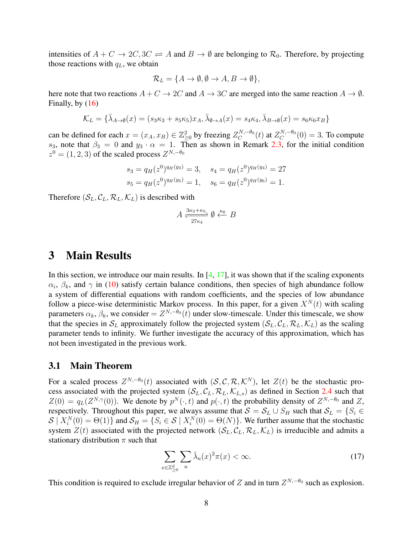intensities of  $A + C \rightarrow 2C, 3C \rightleftharpoons A$  and  $B \rightarrow \emptyset$  are belonging to  $\mathcal{R}_0$ . Therefore, by projecting those reactions with  $q_L$ , we obtain

$$
\mathcal{R}_L = \{A \to \emptyset, \emptyset \to A, B \to \emptyset\},\
$$

here note that two reactions  $A + C \rightarrow 2C$  and  $A \rightarrow 3C$  are merged into the same reaction  $A \rightarrow \emptyset$ . Finally, by [\(16\)](#page-6-0)

$$
\mathcal{K}_L = \{ \bar{\lambda}_{A \to \emptyset}(x) = (s_3 \kappa_3 + s_5 \kappa_5) x_A, \bar{\lambda}_{\emptyset \to A}(x) = s_4 \kappa_4, \bar{\lambda}_{B \to \emptyset}(x) = s_6 \kappa_6 x_B \}
$$

can be defined for each  $x = (x_A, x_B) \in \mathbb{Z}_{\geq 0}^2$  by freezing  $Z_C^{N, -\theta_0}$  $C^{N, -\theta_0}_C(t)$  at  $Z^{N, -\theta_0}_C$  $C^{N,-\theta_0}(0) = 3$ . To compute s<sub>3</sub>, note that  $\beta_3 = 0$  and  $y_3 \cdot \alpha = 1$ . Then as shown in Remark [2.3,](#page-6-1) for the initial condition  $z^0 = (1, 2, 3)$  of the scaled process  $Z^{N,-\theta_0}$ 

$$
s_3 = q_H(z^0)^{q_H(y_3)} = 3, \quad s_4 = q_H(z^0)^{q_H(y_4)} = 27
$$
  
\n
$$
s_5 = q_H(z^0)^{q_H(y_5)} = 1, \quad s_6 = q_H(z^0)^{q_H(y_6)} = 1.
$$

Therefore  $(S_L, C_L, \mathcal{R}_L, \mathcal{K}_L)$  is described with

$$
A \xrightarrow[27\kappa_4]{3\kappa_3 + \kappa_5} \emptyset \xleftarrow{\kappa_6} B
$$

### <span id="page-7-0"></span>3 Main Results

In this section, we introduce our main results. In  $[4, 17]$  $[4, 17]$  $[4, 17]$ , it was shown that if the scaling exponents  $\alpha_i$ ,  $\beta_k$ , and  $\gamma$  in [\(10\)](#page-4-1) satisfy certain balance conditions, then species of high abundance follow a system of differential equations with random coefficients, and the species of low abundance follow a piece-wise deterministic Markov process. In this paper, for a given  $X^N(t)$  with scaling parameters  $\alpha_k$ ,  $\beta_k$ , we consider  $= Z^{N,-\theta_0}(t)$  under slow-timescale. Under this timescale, we show that the species in  $S_L$  approximately follow the projected system  $(S_L, C_L, \mathcal{R}_L, \mathcal{K}_L)$  as the scaling parameter tends to infinity. We further investigate the accuracy of this approximation, which has not been investigated in the previous work.

### 3.1 Main Theorem

For a scaled process  $Z^{N,-\theta_0}(t)$  associated with  $(S, \mathcal{C}, \mathcal{R}, \mathcal{K}^N)$ , let  $Z(t)$  be the stochastic process associated with the projected system  $(S_L, C_L, \mathcal{R}_L, \mathcal{K}_{L,s})$  as defined in Section [2.4](#page-5-1) such that  $Z(0) = q_L(Z^{N,\gamma}(0))$ . We denote by  $p^N(\cdot,t)$  and  $p(\cdot,t)$  the probability density of  $Z^{N,-\theta_0}$  and Z, respectively. Throughout this paper, we always assume that  $S = S_L \cup S_H$  such that  $S_L = \{S_i \in S_H\}$  $S \mid X_i^N(0) = \Theta(1) \}$  and  $S_H = \{ S_i \in S \mid X_i^N(0) = \Theta(N) \}$ . We further assume that the stochastic system  $Z(t)$  associated with the projected network  $(S_L, C_L, R_L, K_L)$  is irreducible and admits a stationary distribution  $\pi$  such that

<span id="page-7-1"></span>
$$
\sum_{x \in \mathbb{Z}_{\geq 0}^d} \sum_u \bar{\lambda}_u(x)^2 \pi(x) < \infty. \tag{17}
$$

This condition is required to exclude irregular behavior of Z and in turn  $Z^{N,-\theta_0}$  such as explosion.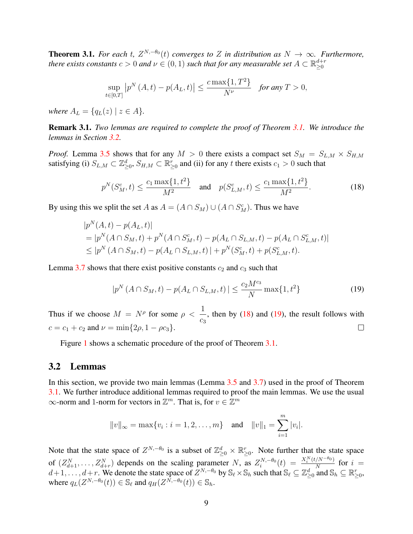<span id="page-8-0"></span>**Theorem 3.1.** For each t,  $Z^{N,-\theta_0}(t)$  converges to Z in distribution as  $N \to \infty$ . Furthermore, *there exists constants*  $c > 0$  and  $\nu \in (0, 1)$  such that for any measurable set  $A \subset \mathbb{R}_{\geq 0}^{d+r}$ 

$$
\sup_{t \in [0,T]} |p^N(A,t) - p(A_L,t)| \le \frac{c \max\{1, T^2\}}{N^{\nu}} \quad \text{for any } T > 0,
$$

*where*  $A_L = \{q_L(z) | z \in A\}.$ 

Remark 3.1. *Two lemmas are required to complete the proof of Theorem [3.1.](#page-8-0) We introduce the lemmas in Section [3.2.](#page-8-1)*

*Proof.* Lemma [3.5](#page-10-0) shows that for any  $M > 0$  there exists a compact set  $S_M = S_{L,M} \times S_{H,M}$ satisfying (i)  $S_{L,M} \subset \mathbb{Z}_{\geq 0}^d$ ,  $S_{H,M} \subset \mathbb{R}_{\geq 0}^r$  and (ii) for any t there exists  $c_1 > 0$  such that

<span id="page-8-2"></span>
$$
p^{N}(S_M^c, t) \le \frac{c_1 \max\{1, t^2\}}{M^2} \quad \text{and} \quad p(S_{L,M}^c, t) \le \frac{c_1 \max\{1, t^2\}}{M^2}.
$$
 (18)

By using this we split the set A as  $A = (A \cap S_M) \cup (A \cap S_M^c)$ . Thus we have

$$
|p^N(A, t) - p(A_L, t)|
$$
  
=  $|p^N(A \cap S_M, t) + p^N(A \cap S_M^c, t) - p(A_L \cap S_{L,M}, t) - p(A_L \cap S_{L,M}^c, t)|$   
 $\leq |p^N(A \cap S_M, t) - p(A_L \cap S_{L,M}, t)| + p^N(S_M^c, t) + p(S_{L,M}^c, t).$ 

Lemma [3.7](#page-13-0) shows that there exist positive constants  $c_2$  and  $c_3$  such that

<span id="page-8-3"></span>
$$
|p^{N}(A \cap S_M, t) - p(A_L \cap S_{L,M}, t)| \leq \frac{c_2 M^{c_3}}{N} \max\{1, t^2\}
$$
 (19)

1 Thus if we choose  $M = N^{\rho}$  for some  $\rho$  <  $\frac{1}{c_3}$ , then by [\(18\)](#page-8-2) and [\(19\)](#page-8-3), the result follows with  $c = c_1 + c_2$  and  $\nu = \min\{2\rho, 1 - \rho c_3\}.$  $\Box$ 

Figure [1](#page-9-0) shows a schematic procedure of the proof of Theorem [3.1.](#page-8-0)

#### <span id="page-8-1"></span>3.2 Lemmas

In this section, we provide two main lemmas (Lemma [3.5](#page-10-0) and [3.7\)](#page-13-0) used in the proof of Theorem [3.1.](#page-8-0) We further introduce additional lemmas required to proof the main lemmas. We use the usual  $\infty$ -norm and 1-norm for vectors in  $\mathbb{Z}^m$ . That is, for  $v \in \mathbb{Z}^m$ 

$$
||v||_{\infty} = \max\{v_i : i = 1, 2, ..., m\}
$$
 and  $||v||_1 = \sum_{i=1}^m |v_i|$ .

Note that the state space of  $Z^{N,-\theta_0}$  is a subset of  $\mathbb{Z}_{\geq 0}^d \times \mathbb{R}_{\geq 0}^r$ . Note further that the state space of  $(Z_{d+1}^N, \ldots, Z_{d+r}^N)$  depends on the scaling parameter N, as  $Z_i^{N, -\theta_0}$  $i^{N,-\theta_0}(t) = \frac{X_i^N(t/N^{-\theta_0})}{N}$  $\frac{N^{N-10}}{N}$  for  $i =$  $d+1, \ldots, d+r$ . We denote the state space of  $Z^{N, -\theta_0}$  by  $\mathbb{S}_{\ell} \times \mathbb{S}_h$  such that  $\mathbb{S}_{\ell} \subseteq \mathbb{Z}_{\geq 0}^d$  and  $\mathbb{S}_h \subseteq \mathbb{R}_{\geq 0}^r$ , where  $q_L(Z^{N,-\theta_0}(t)) \in \mathbb{S}_{\ell}$  and  $q_H(Z^{N,-\theta_0}(t)) \in \mathbb{S}_h$ .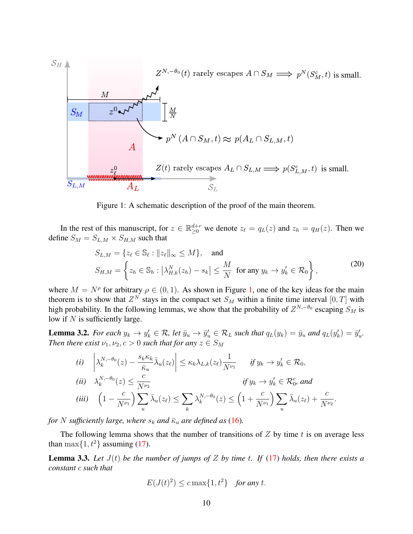<span id="page-9-0"></span>

Figure 1: A schematic description of the proof of the main theorem.

In the rest of this manuscript, for  $z \in \mathbb{R}_{\geq 0}^{d+r}$  we denote  $z_{\ell} = q_L(z)$  and  $z_h = q_H(z)$ . Then we define  $S_M = S_{L,M} \times S_{H,M}$  such that

<span id="page-9-3"></span>
$$
S_{L,M} = \{z_{\ell} \in \mathbb{S}_{\ell} : ||z_{\ell}||_{\infty} \le M\}, \text{ and}
$$
  
\n
$$
S_{H,M} = \left\{z_h \in \mathbb{S}_h : |\lambda_{H,k}^N(z_h) - s_k| \le \frac{M}{N} \text{ for any } y_k \to y'_k \in \mathcal{R}_0\right\},
$$
\n(20)

where  $M = N^{\rho}$  for arbitrary  $\rho \in (0, 1)$ . As shown in Figure [1,](#page-9-0) one of the key ideas for the main theorem is to show that  $Z^N$  stays in the compact set  $S_M$  within a finite time interval  $[0, T]$  with high probability. In the following lemmas, we show that the probability of  $Z^{N,-\theta_0}$  escaping  $S_M$  is low if  $N$  is sufficiently large.

<span id="page-9-1"></span>**Lemma 3.2.** For each  $y_k \to y'_k \in \mathcal{R}$ , let  $\bar{y}_u \to \bar{y}'_u \in \mathcal{R}_L$  such that  $q_L(y_k) = \bar{y}_u$  and  $q_L(y'_k) = \bar{y}'_u$ . *Then there exist*  $\nu_1, \nu_2, c > 0$  *such that for any*  $z \in S_M$ 

(i) 
$$
\left| \lambda_k^{N, -\theta_0}(z) - \frac{s_k \kappa_k}{\bar{\kappa}_u} \bar{\lambda}_u(z_\ell) \right| \le \kappa_k \lambda_{L,k}(z_\ell) \frac{1}{N^{\nu_1}} \quad \text{if } y_k \to y'_k \in \mathcal{R}_0,
$$
  
\n(ii)  $\lambda_k^{N, -\theta_0}(z) \le \frac{c}{N^{\nu_2}}$   $\text{if } y_k \to y'_k \in \mathcal{R}_0^c \text{ and}$   
\n(iii)  $\left(1 - \frac{c}{N^{\nu_1}}\right) \sum_u \bar{\lambda}_u(z_\ell) \le \sum_k \lambda_k^{N, -\theta_0}(z) \le \left(1 + \frac{c}{N^{\nu_1}}\right) \sum_u \bar{\lambda}_u(z_\ell) + \frac{c}{N^{\nu_2}}.$ 

*for* N sufficiently large, where  $s_k$  and  $\bar{\kappa}_u$  are defined as [\(16\)](#page-6-0).

The following lemma shows that the number of transitions of  $Z$  by time  $t$  is on average less than max $\{1, t^2\}$  assuming [\(17\)](#page-7-1).

<span id="page-9-2"></span>**Lemma 3.3.** Let  $J(t)$  be the number of jumps of Z by time t. If [\(17\)](#page-7-1) holds, then there exists a *constant* c *such that*

$$
E(J(t)^2) \le c \max\{1, t^2\} \quad \text{for any } t.
$$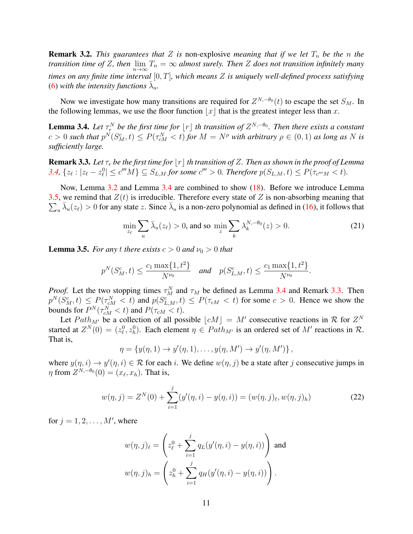**Remark 3.2.** *This guarantees that* Z *is* non-explosive *meaning that if we let*  $T_n$  *be the n the transition time of Z, then*  $\lim_{n\to\infty}T_n = \infty$  *almost surely. Then Z does not transition infinitely many times on any finite time interval* [0, T]*, which means* Z *is uniquely well-defined process satisfying* [\(6\)](#page-3-1) with the intensity functions  $\bar{\lambda}_u$ .

Now we investigate how many transitions are required for  $Z^{N,-\theta_0}(t)$  to escape the set  $S_M$ . In the following lemmas, we use the floor function  $|x|$  that is the greatest integer less than x.

<span id="page-10-1"></span>**Lemma 3.4.** Let  $\tau_r^N$  be the first time for  $\lfloor r \rfloor$  th transition of  $Z^{N,-\theta_0}$ . Then there exists a constant  $c > 0$  such that  $p^N(S_M^c, t) \leq P(\tau_{cM}^N < t)$  for  $M = N^{\rho}$  with arbitrary  $\rho \in (0, 1)$  as long as N is *sufficiently large.*

<span id="page-10-2"></span>**Remark 3.3.** Let  $\tau_r$  be the first time for  $|r|$  th transition of Z. Then as shown in the proof of Lemma [3.4,](#page-10-1)  $\{z_{\ell}: |z_{\ell}-z_{\ell}^0|\leq c'''M\}\subseteq S_{L,M}$  for some  $c'''>0$ . Therefore  $p(S_{L,M}, t)\leq P(\tau_{c'''M}< t)$ .

Now, Lemma [3.2](#page-9-1) and Lemma [3.4](#page-10-1) are combined to show [\(18\)](#page-8-2). Before we introduce Lemma  $\sum_{u} \bar{\lambda}_u(z_\ell) > 0$  for any state z. Since  $\bar{\lambda}_u$  is a non-zero polynomial as defined in [\(16\)](#page-6-0), it follows that [3.5,](#page-10-0) we remind that  $Z(t)$  is irreducible. Therefore every state of Z is non-absorbing meaning that

<span id="page-10-3"></span>
$$
\min_{z_{\ell}} \sum_{u} \bar{\lambda}_u(z_{\ell}) > 0, \text{ and so } \min_{z} \sum_{k} \lambda_k^{N, -\theta_0}(z) > 0. \tag{21}
$$

<span id="page-10-0"></span>**Lemma 3.5.** *For any t there exists*  $c > 0$  *and*  $\nu_0 > 0$  *that* 

$$
p^N(S_M^c, t) \le \frac{c_1 \max\{1, t^2\}}{N^{\nu_0}}
$$
 and  $p(S_{L,M}^c, t) \le \frac{c_1 \max\{1, t^2\}}{N^{\nu_0}}$ .

*Proof.* Let the two stopping times  $\tau_M^N$  and  $\tau_M$  be defined as Lemma [3.4](#page-10-1) and Remark [3.3.](#page-10-2) Then  $p^N(S_M^c, t) \le P(\tau_{cM}^N < t)$  and  $p(S_{L,M}^c, t) \le P(\tau_{cM} < t)$  for some  $c > 0$ . Hence we show the bounds for  $P^N(\tau_{cM}^N < t)$  and  $P(\tau_{cM} < t)$ .

Let  $Path_{M'}$  be a collection of all possible  $\lfloor cM \rfloor = M'$  consecutive reactions in R for  $Z^N$ started at  $Z^N(0) = (z^0_\ell, z^0_h)$ . Each element  $\eta \in Path_{M'}$  is an ordered set of M' reactions in R. That is,

$$
\eta = \{y(\eta, 1) \to y'(\eta, 1), \dots, y(\eta, M') \to y'(\eta, M')\},\
$$

where  $y(\eta, i) \to y'(\eta, i) \in \mathcal{R}$  for each i. We define  $w(\eta, j)$  be a state after j consecutive jumps in  $\eta$  from  $Z^{N,-\theta_0}(0) = (x_\ell, x_h)$ . That is,

$$
w(\eta, j) = Z^N(0) + \sum_{i=1}^j (y'(\eta, i) - y(\eta, i)) = (w(\eta, j)_\ell, w(\eta, j)_h)
$$
\n(22)

for  $j = 1, 2, \ldots, M'$ , where

$$
w(\eta, j)_{\ell} = \left(z_{\ell}^{0} + \sum_{i=1}^{j} q_{L}(y'(\eta, i) - y(\eta, i))\right) \text{ and}
$$

$$
w(\eta, j)_{h} = \left(z_{h}^{0} + \sum_{i=1}^{j} q_{H}(y'(\eta, i) - y(\eta, i))\right).
$$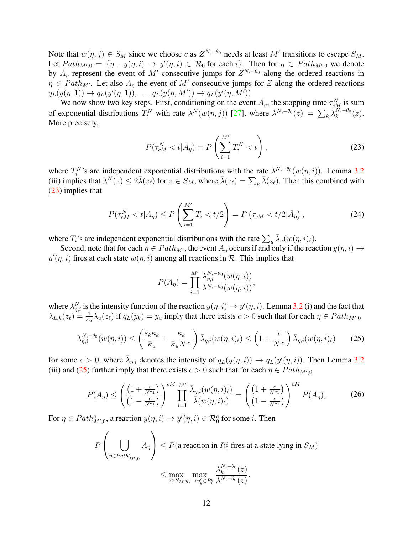Note that  $w(\eta, j) \in S_M$  since we choose c as  $Z^{N, -\theta_0}$  needs at least M' transitions to escape  $S_M$ . Let  $Path_{M',0} = \{\eta : y(\eta,i) \to y'(\eta,i) \in \mathcal{R}_0 \text{ for each } i\}.$  Then for  $\eta \in Path_{M',0}$  we denote by  $A_{\eta}$  represent the event of M' consecutive jumps for  $Z^{N,-\theta_0}$  along the ordered reactions in  $\eta \in \text{Path}_{M'}$ . Let also  $\bar{A}_{\eta}$  the event of M' consecutive jumps for Z along the ordered reactions  $q_L(y(\eta, 1)) \to q_L(y'(\eta, 1)), \ldots, q_L(y(\eta, M')) \to q_L(y'(\eta, M')).$ 

We now show two key steps. First, conditioning on the event  $A_{\eta}$ , the stopping time  $\tau_{cM}^{N}$  is sum of exponential distributions  $T_i^N$  with rate  $\lambda^N(w(\eta, j))$  [\[27\]](#page-27-9), where  $\lambda^{N, -\theta_0}(z) = \sum_k \lambda_k^{N, -\theta_0}$  $_{k}^{\prime\mathrm{V},-\theta_{0}}(z).$ More precisely,

<span id="page-11-0"></span>
$$
P(\tau_{cM}^N < t | A_\eta) = P\left(\sum_{i=1}^{M'} T_i^N < t\right),\tag{23}
$$

where  $T_i^N$ 's are independent exponential distributions with the rate  $\lambda^{N,-\theta_0}(w(\eta,i))$ . Lemma [3.2](#page-9-1) (iii) implies that  $\lambda^N(z) \leq 2\bar{\lambda}(z_\ell)$  for  $z \in S_M$ , where  $\bar{\lambda}(z_\ell) = \sum_u \bar{\lambda}(z_\ell)$ . Then this combined with [\(23\)](#page-11-0) implies that

$$
P(\tau_{cM}^N < t | A_\eta) \le P\left(\sum_{i=1}^{M'} T_i < t/2\right) = P\left(\tau_{cM} < t/2 | \bar{A}_\eta\right),\tag{24}
$$

where  $T_i$ 's are independent exponential distributions with the rate  $\sum_u \bar{\lambda}_u(w(\eta, i)_\ell)$ .

Second, note that for each  $\eta \in Path_{M'}$ , the event  $A_n$  occurs if and only if the reaction  $y(\eta, i) \to$  $y'(\eta, i)$  fires at each state  $w(\eta, i)$  among all reactions in  $\mathcal{R}$ . This implies that

<span id="page-11-3"></span><span id="page-11-2"></span><span id="page-11-1"></span>
$$
P(A_{\eta}) = \prod_{i=1}^{M'} \frac{\lambda_{\eta,i}^{N,-\theta_0}(w(\eta,i))}{\lambda^{N,-\theta_0}(w(\eta,i))},
$$

where  $\lambda_{\eta,i}^N$  is the intensity function of the reaction  $y(\eta,i) \to y'(\eta,i)$ . Lemma [3.2](#page-9-1) (i) and the fact that  $\lambda_{L,k}(z_\ell) = \frac{1}{\overline{\kappa}_u} \overline{\lambda}_u(z_\ell)$  if  $q_L(y_k) = \overline{y}_u$  imply that there exists  $c > 0$  such that for each  $\eta \in Path_{M',0}$ 

$$
\lambda_{\eta,i}^{N,-\theta_0}(w(\eta,i)) \le \left(\frac{s_k \kappa_k}{\bar{\kappa}_u} + \frac{\kappa_k}{\bar{\kappa}_u N^{\nu_1}}\right) \bar{\lambda}_{\eta,i}(w(\eta,i)_\ell) \le \left(1 + \frac{c}{N^{\nu_1}}\right) \bar{\lambda}_{\eta,i}(w(\eta,i)_\ell) \tag{25}
$$

for some  $c > 0$ , where  $\bar{\lambda}_{\eta,i}$  denotes the intensity of  $q_L(y(\eta,i)) \to q_L(y'(\eta,i))$ . Then Lemma [3.2](#page-9-1) (iii) and [\(25\)](#page-11-1) further imply that there exists  $c > 0$  such that for each  $\eta \in Path_{M',0}$ 

$$
P(A_{\eta}) \leq \left(\frac{\left(1+\frac{c}{N^{\nu_1}}\right)}{\left(1-\frac{c}{N^{\nu_1}}\right)}\right)^{cM} \prod_{i=1}^{M'} \frac{\bar{\lambda}_{\eta,i}(w(\eta,i)_{\ell})}{\bar{\lambda}(w(\eta,i)_{\ell})} = \left(\frac{\left(1+\frac{c}{N^{\nu_1}}\right)}{\left(1-\frac{c}{N^{\nu_1}}\right)}\right)^{cM} P(\bar{A}_{\eta}),\tag{26}
$$

For  $\eta \in Path_{M',0}^c$ , a reaction  $y(\eta, i) \to y'(\eta, i) \in \mathcal{R}_0^c$  for some *i*. Then

$$
P\left(\bigcup_{\eta \in Path_{M',0}^c} A_{\eta}\right) \le P(\text{a reaction in } R_0^c \text{ fires at a state lying in } S_M)
$$

$$
\le \max_{z \in S_M} \max_{y_k \to y_k' \in R_0^c} \frac{\lambda_k^{N,-\theta_0}(z)}{\lambda^{N,-\theta_0}(z)}.
$$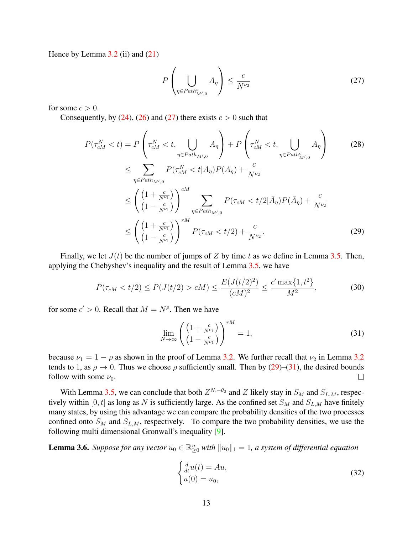Hence by Lemma  $3.2$  (ii) and  $(21)$ 

<span id="page-12-0"></span>
$$
P\left(\bigcup_{\eta \in Path_{M',0}^c} A_{\eta}\right) \leq \frac{c}{N^{\nu_2}}\tag{27}
$$

for some  $c > 0$ .

Consequently, by [\(24\)](#page-11-2), [\(26\)](#page-11-3) and [\(27\)](#page-12-0) there exists  $c > 0$  such that

$$
P(\tau_{cM}^{N} < t) = P\left(\tau_{cM}^{N} < t, \bigcup_{\eta \in Path_{M',0}} A_{\eta}\right) + P\left(\tau_{cM}^{N} < t, \bigcup_{\eta \in Path_{M',0}} A_{\eta}\right)
$$
(28)  

$$
\leq \sum_{\eta \in Path_{M',0}} P(\tau_{cM}^{N} < t | A_{\eta}) P(A_{\eta}) + \frac{c}{N^{\nu_{2}}}
$$
  

$$
\leq \left(\frac{\left(1 + \frac{c}{N^{\nu_{1}}}\right)}{\left(1 - \frac{c}{N^{\nu_{1}}}\right)}\right)^{cM} \sum_{\eta \in Path_{M',0}} P(\tau_{cM} < t/2 | \bar{A}_{\eta}) P(\bar{A}_{\eta}) + \frac{c}{N^{\nu_{2}}}
$$
  

$$
\leq \left(\frac{\left(1 + \frac{c}{N^{\nu_{1}}}\right)}{\left(1 - \frac{c}{N^{\nu_{1}}}\right)}\right)^{rM} P(\tau_{cM} < t/2) + \frac{c}{N^{\nu_{2}}}.
$$
(29)

Finally, we let  $J(t)$  be the number of jumps of Z by time t as we define in Lemma [3.5.](#page-10-0) Then, applying the Chebyshev's inequality and the result of Lemma [3.5,](#page-10-0) we have

$$
P(\tau_{cM} < t/2) \le P(J(t/2) > c) \le \frac{E(J(t/2)^2)}{(cM)^2} \le \frac{c' \max\{1, t^2\}}{M^2},\tag{30}
$$

for some  $c' > 0$ . Recall that  $M = N^{\rho}$ . Then we have

<span id="page-12-2"></span><span id="page-12-1"></span>
$$
\lim_{N \to \infty} \left( \frac{\left(1 + \frac{c}{N^{\nu_1}}\right)}{\left(1 - \frac{c}{N^{\nu_1}}\right)} \right)^{rM} = 1,\tag{31}
$$

because  $\nu_1 = 1 - \rho$  as shown in the proof of Lemma [3.2.](#page-9-1) We further recall that  $\nu_2$  in Lemma [3.2](#page-9-1) tends to 1, as  $\rho \to 0$ . Thus we choose  $\rho$  sufficiently small. Then by [\(29\)](#page-12-1)–[\(31\)](#page-12-2), the desired bounds follow with some  $\nu_0$ .  $\Box$ 

With Lemma [3.5,](#page-10-0) we can conclude that both  $Z^{N,-\theta_0}$  and Z likely stay in  $S_M$  and  $S_{L,M}$ , respectively within [0, t] as long as N is sufficiently large. As the confined set  $S_M$  and  $S_{L,M}$  have finitely many states, by using this advantage we can compare the probability densities of the two processes confined onto  $S_M$  and  $S_{L,M}$ , respectively. To compare the two probability densities, we use the following multi dimensional Gronwall's inequality [\[9\]](#page-26-5).

<span id="page-12-3"></span>**Lemma 3.6.** Suppose for any vector  $u_0 \in \mathbb{R}_{\geq 0}^n$  with  $||u_0||_1 = 1$ , a system of differential equation

<span id="page-12-4"></span>
$$
\begin{cases}\n\frac{d}{dt}u(t) = Au, \\
u(0) = u_0,\n\end{cases}
$$
\n(32)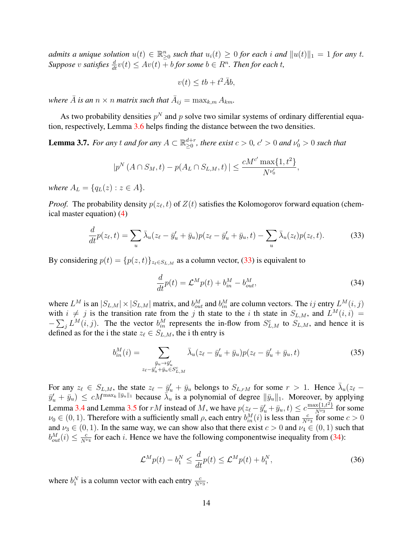*admits a unique solution*  $u(t) \in \mathbb{R}_{\geq 0}^n$  such that  $u_i(t) \geq 0$  for each i and  $||u(t)||_1 = 1$  for any t.  $Suppose \ v \ satisfies \ \frac{d}{dt}v(t) \le Av(t) + b$  *for some*  $b \in R^n$ *. Then for each t,* 

$$
v(t) \leq tb + t^2 \bar{A}b,
$$

where  $\overline{A}$  *is an*  $n \times n$  *matrix such that*  $\overline{A}_{ij} = \max_{k,m} A_{km}$ *.* 

As two probability densities  $p^N$  and p solve two similar systems of ordinary differential equation, respectively, Lemma [3.6](#page-12-3) helps finding the distance between the two densities.

<span id="page-13-0"></span>**Lemma 3.7.** For any t and for any  $A \subset \mathbb{R}^{d+r}_{\geq 0}$ , there exist  $c > 0$ ,  $c' > 0$  and  $\nu'_0 > 0$  such that

$$
|p^{N}(A \cap S_{M}, t) - p(A_{L} \cap S_{L,M}, t)| \leq \frac{cM^{c'} \max\{1, t^{2}\}}{N^{\nu'_{0}}},
$$

*where*  $A_L = \{q_L(z) : z \in A\}.$ 

*Proof.* The probability density  $p(z_\ell, t)$  of  $Z(t)$  satisfies the Kolomogorov forward equation (chemical master equation) [\(4\)](#page-3-2)

$$
\frac{d}{dt}p(z_{\ell},t) = \sum_{u} \bar{\lambda}_{u}(z_{\ell} - \bar{y}'_{u} + \bar{y}_{u})p(z_{\ell} - \bar{y}'_{u} + \bar{y}_{u},t) - \sum_{u} \bar{\lambda}_{u}(z_{\ell})p(z_{\ell},t). \tag{33}
$$

By considering  $p(t) = {p(z, t)}_{z_t \in S_{L,M}}$  as a column vector, [\(33\)](#page-13-1) is equivalent to

<span id="page-13-2"></span><span id="page-13-1"></span>
$$
\frac{d}{dt}p(t) = \mathcal{L}^M p(t) + b_{in}^M - b_{out}^M,
$$
\n(34)

where  $L^M$  is an  $|S_{L,M}| \times |S_{L,M}|$  matrix, and  $b_{out}^M$  and  $b_{in}^M$  are column vectors. The ij entry  $L^M(i, j)$ with  $i \neq j$  is the transition rate from the j th state to the i th state in  $S_{L,M}$ , and  $L^M(i,i)$  $-\sum_j L^M(i,j)$ . The the vector  $b_{in}^M$  represents the in-flow from  $S_{L,M}^c$  to  $S_{L,M}$ , and hence it is defined as for the i the state  $z_\ell \in S_{L,M}$ , the i th entry is

$$
b_{in}^{M}(i) = \sum_{\substack{\bar{y}_{u} \to \bar{y}_{u}^{\prime} \\ z_{\ell} - \bar{y}_{u}^{\prime} + \bar{y}_{u} \in S_{L,M}^{c}}} \bar{\lambda}_{u} (z_{\ell} - \bar{y}_{u}^{\prime} + \bar{y}_{u}) p(z_{\ell} - \bar{y}_{u}^{\prime} + \bar{y}_{u}, t)
$$
(35)

For any  $z_\ell \in S_{L,M}$ , the state  $z_\ell - \bar{y}'_u + \bar{y}_u$  belongs to  $S_{L,rM}$  for some  $r > 1$ . Hence  $\bar{\lambda}_u(z_\ell \bar{y}'_u + \bar{y}_u$ )  $\leq cM^{\max_k \|\bar{y}_u\|_1}$  because  $\bar{\lambda}_u$  is a polynomial of degree  $\|\bar{y}_u\|_1$ . Moreover, by applying Lemma [3.4](#page-10-1) and Lemma [3.5](#page-10-0) for  $rM$  instead of M, we have  $p(z_\ell - \bar{y}'_u + \bar{y}_u, t) \leq c \frac{\max\{1, t^2\}}{N^{\nu_3}}$  $\frac{X\{1,t^2\}}{N^{\nu_3}}$  for some  $\nu_0 \in (0,1)$ . Therefore with a sufficiently small  $\rho$ , each entry  $b_{in}^M(i)$  is less than  $\frac{c}{N^{\nu_3}}$  for some  $c > 0$ and  $\nu_3 \in (0, 1)$ . In the same way, we can show also that there exist  $c > 0$  and  $\nu_4 \in (0, 1)$  such that  $b_{out}^M(i) \le \frac{c}{N^{\nu_4}}$  for each i. Hence we have the following componentwise inequality from [\(34\)](#page-13-2):

<span id="page-13-3"></span>
$$
\mathcal{L}^M p(t) - b_1^N \le \frac{d}{dt} p(t) \le \mathcal{L}^M p(t) + b_1^N,\tag{36}
$$

where  $b_1^N$  is a column vector with each entry  $\frac{c}{N^{\nu_3}}$ .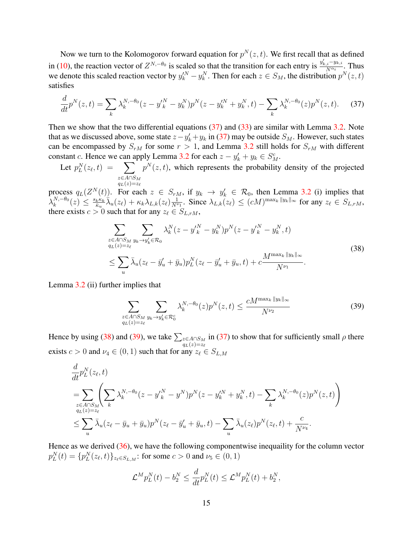Now we turn to the Kolomogorov forward equation for  $p^{N}(z,t)$ . We first recall that as defined in [\(10\)](#page-4-1), the reaction vector of  $Z^{N,-\theta_0}$  is scaled so that the transition for each entry is  $\frac{y'_{k,i}-y_{k,i}}{N^{\alpha_i}}$  $\frac{e^{i\theta k, i}}{N^{\alpha_i}}$ . Thus we denote this scaled reaction vector by  $y_k^N - y_k^N$ . Then for each  $z \in S_M$ , the distribution  $p^N(z, t)$ satisfies

$$
\frac{d}{dt}p^N(z,t) = \sum_k \lambda_k^{N,-\theta_0} (z - y'^N_k - y^N_k) p^N(z - y'^N_k + y^N_k, t) - \sum_k \lambda_k^{N,-\theta_0} (z) p^N(z,t). \tag{37}
$$

Then we show that the two differential equations  $(37)$  and  $(33)$  are similar with Lemma [3.2.](#page-9-1) Note that as we discussed above, some state  $z - y'_k + y_k$  in [\(37\)](#page-14-0) may be outside  $S_M$ . However, such states can be encompassed by  $S_{rM}$  for some  $r > 1$ , and Lemma [3.2](#page-9-1) still holds for  $S_{rM}$  with different constant c. Hence we can apply Lemma [3.2](#page-9-1) for each  $z - y'_k + y_k \in S^c_M$ .

Let  $p_L^N(z_\ell, t) = \sum$  $z{\in}A{\cap}S_M$  $q_L(z)=z_\ell$  $p^{N}(z, t)$ , which represents the probability density of the projected

process  $q_L(Z^N(t))$ . For each  $z \in S_{rM}$ , if  $y_k \to y'_k \in \mathcal{R}_0$ , then Lemma [3.2](#page-9-1) (i) implies that  $\bar\lambda_k^{N,-\theta_0}$  $k^{N,-\theta_0}(z)\,\leq\,\frac{s_k\kappa_k}{\bar{\kappa}_u}$  $\frac{k\kappa_k}{\kappa_u}\hat{\lambda}_u(z_\ell) + \kappa_k\lambda_{L,k}(z_\ell)\frac{1}{N^{\nu_1}}$ . Since  $\lambda_{L,k}(z_\ell) \leq (cM)^{\max_k \|y_k\|_{\infty}}$  for any  $z_\ell \in S_{L,rM}$ , there exists  $c > 0$  such that for any  $z_\ell \in S_{L,rM}$ ,

<span id="page-14-0"></span>
$$
\sum_{\substack{z \in A \cap S_M \\ q_L(z) = z_\ell}} \sum_{y_k \to y'_k \in \mathcal{R}_0} \lambda_k^N (z - y'^N_k - y^N_k) p^N (z - y'^N_k - y^N_k, t) \n\le \sum_u \bar{\lambda}_u (z_\ell - \bar{y}'_u + \bar{y}_u) p^N_L (z_\ell - \bar{y}'_u + \bar{y}_u, t) + c \frac{M^{\max_k \|y_k\|_\infty}}{N^{\nu_1}}.
$$
\n(38)

Lemma [3.2](#page-9-1) (ii) further implies that

<span id="page-14-2"></span><span id="page-14-1"></span>
$$
\sum_{\substack{z \in A \cap S_M \\ q_L(z) = z_\ell}} \sum_{y_k \to y'_k \in \mathcal{R}_0^c} \lambda_k^{N, -\theta_0}(z) p^N(z, t) \le \frac{c M^{\max_k \|y_k\|_\infty}}{N^{\nu_2}} \tag{39}
$$

Hence by using [\(38\)](#page-14-1) and [\(39\)](#page-14-2), we take  $\sum_{z \in A \cap S_M}$  in [\(37\)](#page-14-0) to show that for sufficiently small  $\rho$  there  $q_L(z)=z_\ell$ exists  $c > 0$  and  $\nu_4 \in (0, 1)$  such that for any  $z_\ell \in S_{L,M}$ 

$$
\frac{d}{dt}p_L^N(z_\ell, t)
$$
\n
$$
= \sum_{\substack{z \in A \cap S_M \\ q_L(z) = z_\ell}} \left( \sum_k \lambda_k^{N, -\theta_0} (z - y_k^{\prime N} - y^N) p^N(z - y_k^{\prime N} + y_k^N, t) - \sum_k \lambda_k^{N, -\theta_0} (z) p^N(z, t) \right)
$$
\n
$$
\leq \sum_u \bar{\lambda}_u (z_\ell - \bar{y}_u + \bar{y}_u) p^N(z_\ell - \bar{y}_u^{\prime} + \bar{y}_u, t) - \sum_u \bar{\lambda}_u (z_\ell) p^N(z_\ell, t) + \frac{c}{N^{\nu_4}}.
$$

Hence as we derived [\(36\)](#page-13-3), we have the following componentwise inequaility for the column vector  $p_L^N(t) = \{p_L^N(z_\ell, t)\}_{z_\ell \in S_{L,M}}$ : for some  $c > 0$  and  $\nu_5 \in (0, 1)$ 

$$
\mathcal{L}^M p_L^N(t) - b_2^N \le \frac{d}{dt} p_L^N(t) \le \mathcal{L}^M p_L^N(t) + b_2^N,
$$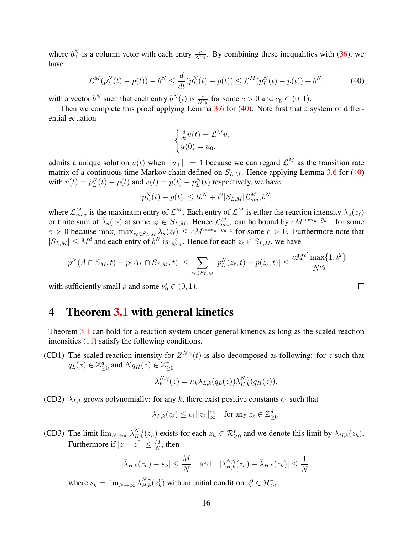where  $b_2^N$  is a column vetor with each entry  $\frac{c}{N^{\nu_4}}$ . By combining these inequalities with [\(36\)](#page-13-3), we have

$$
\mathcal{L}^{M}(p_{L}^{N}(t) - p(t)) - b^{N} \le \frac{d}{dt}(p_{L}^{N}(t) - p(t)) \le \mathcal{L}^{M}(p_{L}^{N}(t) - p(t)) + b^{N}, \tag{40}
$$

with a vector  $b^N$  such that each entry  $b^N(i)$  is  $\frac{c}{N^{\nu_5}}$  for some  $c > 0$  and  $\nu_5 \in (0, 1)$ .

Then we complete this proof applying Lemma  $3.6$  for  $(40)$ . Note first that a system of differential equation

<span id="page-15-1"></span>
$$
\begin{cases} \frac{d}{dt}u(t) = \mathcal{L}^M u, \\ u(0) = u_0, \end{cases}
$$

admits a unique solution  $u(t)$  when  $||u_0||_1 = 1$  because we can regard  $\mathcal{L}^M$  as the transition rate matrix of a continuous time Markov chain defined on  $S_{L,M}$ . Hence applying Lemma [3.6](#page-12-3) for [\(40\)](#page-15-1) with  $v(t) = p_L^N(t) - p(t)$  and  $v(t) = p(t) - p_L^N(t)$  respectively, we have

$$
|p_L^N(t) - p(t)| \le tb^N + t^2 |S_{L,M}| \mathcal{L}_{max}^M b^N,
$$

where  $\mathcal{L}_{max}^M$  is the maximum entry of  $\mathcal{L}^M$ . Each entry of  $\mathcal{L}^M$  is either the reaction intensity  $\bar{\lambda}_u(z_\ell)$ or finite sum of  $\bar{\lambda}_u(z_\ell)$  at some  $z_\ell \in S_{L,M}$ . Hence  $\mathcal{L}_{max}^M$  can be bound by  $cM^{\max_u \|\bar{y}_u\|_1}$  for some  $c > 0$  because  $\max_u \max_{z_\ell \in S_{L,M}} \bar{\lambda}_u(z_\ell) \leq cM^{\max_u \|\bar{y}_u\|_1}$  for some  $c > 0$ . Furthermore note that  $|S_{L,M}| \leq M^d$  and each entry of  $b^N$  is  $\frac{c}{N^{\nu_4}}$ . Hence for each  $z_\ell \in S_{L,M}$ , we have

$$
|p^N(A \cap S_M, t) - p(A_L \cap S_{L,M}, t)| \leq \sum_{z_{\ell} \in S_{L,M}} |p_L^N(z_{\ell}, t) - p(z_{\ell}, t)| \leq \frac{cM^{c'} \max\{1, t^2\}}{N^{\nu_0'}}
$$

with sufficiently small  $\rho$  and some  $\nu'_0 \in (0, 1)$ .

### <span id="page-15-0"></span>4 Theorem [3.1](#page-8-0) with general kinetics

Theorem [3.1](#page-8-0) can hold for a reaction system under general kinetics as long as the scaled reaction intensities [\(11\)](#page-5-0) satisfy the following conditions.

<span id="page-15-2"></span>(CD1) The scaled reaction intensity for  $Z^{N,\gamma}(t)$  is also decomposed as following: for z such that  $q_L(z) \in \mathbb{Z}_{\geq 0}^d$  and  $Nq_H(z) \in \mathbb{Z}_{\geq 0}^r$ 

$$
\lambda_k^{N,\gamma}(z) = \kappa_k \lambda_{L,k}(q_L(z)) \lambda_{H,k}^{N,\gamma}(q_H(z)).
$$

<span id="page-15-4"></span>(CD2)  $\lambda_{L,k}$  grows polynomially: for any k, there exist positive constants  $c_1$  such that

$$
\lambda_{L,k}(z_\ell)\leq c_1\|z_\ell\|_\infty^{c_2}\quad\text{for any }z_\ell\in\mathbb{Z}_{\geq 0}^d.
$$

<span id="page-15-3"></span>(CD3) The limit  $\lim_{N\to\infty} \lambda_{H,k}^{N,\gamma}(z_h)$  exists for each  $z_h \in \mathcal{R}_{\geq 0}^r$  and we denote this limit by  $\bar{\lambda}_{H,k}(z_h)$ . Furthermore if  $|z - z^0| \leq \frac{M}{N}$ , then

$$
|\bar{\lambda}_{H,k}(z_h) - s_k| \leq \frac{M}{N}
$$
 and  $|\lambda_{H,k}^{N,\gamma}(z_h) - \bar{\lambda}_{H,k}(z_h)| \leq \frac{1}{N}$ ,

where  $s_k = \lim_{N \to \infty} \lambda_{H,k}^{N,\gamma}(z_h^0)$  with an initial condition  $z_h^0 \in \mathcal{R}_{\geq 0}^r$ .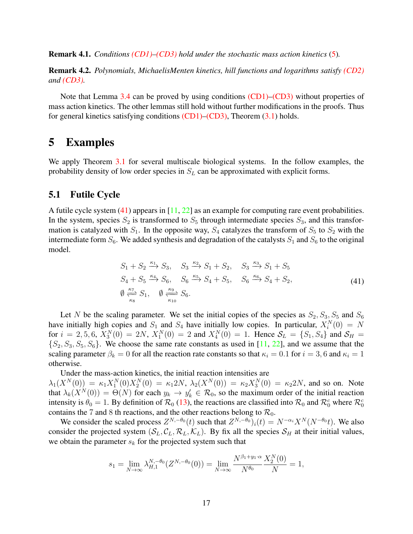Remark 4.1. *Conditions [\(CD1\)–](#page-15-2)[\(CD3\)](#page-15-3) hold under the stochastic mass action kinetics* [\(5\)](#page-3-3)*.*

Remark 4.2. *Polynomials, MichaelisMenten kinetics, hill functions and logarithms satisfy [\(CD2\)](#page-15-4) and [\(CD3\).](#page-15-3)*

Note that Lemma [3.4](#page-10-1) can be proved by using conditions [\(CD1\)](#page-15-2)[–\(CD3\)](#page-15-3) without properties of mass action kinetics. The other lemmas still hold without further modifications in the proofs. Thus for general kinetics satisfying conditions  $(CD1)$ – $(CD3)$ , Theorem  $(3.1)$  holds.

### <span id="page-16-0"></span>5 Examples

We apply Theorem [3.1](#page-8-0) for several multiscale biological systems. In the follow examples, the probability density of low order species in  $S_L$  can be approximated with explicit forms.

### 5.1 Futile Cycle

A futile cycle system  $(41)$  appears in  $[11, 22]$  $[11, 22]$  $[11, 22]$  as an example for computing rare event probabilities. In the system, species  $S_2$  is transformed to  $S_5$  through intermediate species  $S_3$ , and this transformation is catalyzed with  $S_1$ . In the opposite way,  $S_4$  catalyzes the transform of  $S_5$  to  $S_2$  with the intermediate form  $S_6$ . We added synthesis and degradation of the catalysts  $S_1$  and  $S_6$  to the original model.

<span id="page-16-1"></span>
$$
S_1 + S_2 \xrightarrow{\kappa_1} S_3, \quad S_3 \xrightarrow{\kappa_2} S_1 + S_2, \quad S_3 \xrightarrow{\kappa_3} S_1 + S_5
$$
  
\n
$$
S_4 + S_5 \xrightarrow{\kappa_4} S_6, \quad S_6 \xrightarrow{\kappa_5} S_4 + S_5, \quad S_6 \xrightarrow{\kappa_6} S_4 + S_2,
$$
  
\n
$$
\emptyset \xleftarrow{\kappa_7} S_1, \quad \emptyset \xrightarrow{\kappa_9} S_6.
$$
\n(41)

Let N be the scaling parameter. We set the initial copies of the species as  $S_2, S_3, S_5$  and  $S_6$ have initially high copies and  $S_1$  and  $S_4$  have initially low copies. In particular,  $X_i^N(0) = N$ for  $i = 2, 5, 6$ ,  $X_3^N(0) = 2N$ ,  $X_1^N(0) = 2$  and  $X_4^N(0) = 1$ . Hence  $S_L = \{S_1, S_4\}$  and  $S_H =$  $\{S_2, S_3, S_5, S_6\}$ . We choose the same rate constants as used in [\[11,](#page-26-6) [22\]](#page-27-10), and we assume that the scaling parameter  $\beta_k = 0$  for all the reaction rate constants so that  $\kappa_i = 0.1$  for  $i = 3, 6$  and  $\kappa_i = 1$ otherwise.

Under the mass-action kinetics, the initial reaction intensities are  $\lambda_1(X^N(0)) = \kappa_1 X_1^N(0) X_2^N(0) = \kappa_1 2N$ ,  $\lambda_2(X^N(0)) = \kappa_2 X_3^N(0) = \kappa_2 2N$ , and so on. Note that  $\lambda_k(X^N(0)) = \Theta(N)$  for each  $y_k \to y'_k \in \mathcal{R}_0$ , so the maximum order of the initial reaction intensity is  $\theta_0 = 1$ . By definition of  $\mathcal{R}_0$  [\(13\)](#page-5-2), the reactions are classified into  $\mathcal{R}_0$  and  $\mathcal{R}_0^c$  where  $\mathcal{R}_0^c$ contains the 7 and 8 th reactions, and the other reactions belong to  $\mathcal{R}_0$ .

We consider the scaled process  $Z^{N,-\theta_0}(t)$  such that  $Z^{N,-\theta_0}$ )<sub>i</sub> $(t) = N^{-\alpha_i}X^N(N^{-\theta_0}t)$ . We also consider the projected system  $(S_L, C_L, R_L, K_L)$ . By fix all the species  $S_H$  at their initial values, we obtain the parameter  $s_k$  for the projected system such that

$$
s_1 = \lim_{N \to \infty} \lambda_{H,1}^{N,-\theta_0}(Z^{N,-\theta_0}(0)) = \lim_{N \to \infty} \frac{N^{\beta_1 + y_1 \cdot \alpha}}{N^{\theta_0}} \frac{X_2^N(0)}{N} = 1,
$$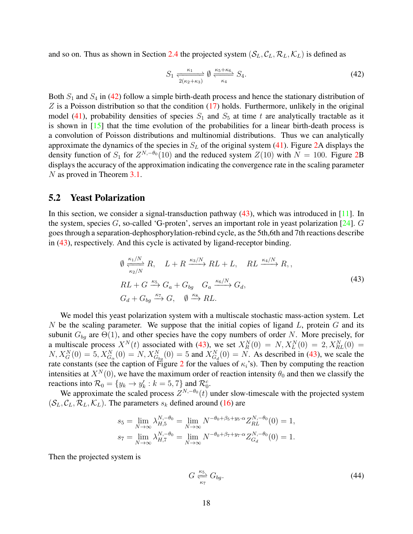and so on. Thus as shown in Section [2.4](#page-5-1) the projected system  $(S_L, C_L, \mathcal{R}_L, \mathcal{K}_L)$  is defined as

<span id="page-17-0"></span>
$$
S_1 \xrightarrow[2(\kappa_2 + \kappa_3)]{} 0 \xrightarrow[\kappa_4]{\kappa_5 + \kappa_6} S_4.
$$
 (42)

Both  $S_1$  and  $S_4$  in [\(42\)](#page-17-0) follow a simple birth-death process and hence the stationary distribution of  $Z$  is a Poisson distribution so that the condition  $(17)$  holds. Furthermore, unlikely in the original model [\(41\)](#page-16-1), probability densities of species  $S_1$  and  $S_5$  at time t are analytically tractable as it is shown in [\[15\]](#page-27-11) that the time evolution of the probabilities for a linear birth-death process is a convolution of Poisson distributions and multinomial distributions. Thus we can analytically approximate the dynamics of the species in  $S_L$  of the original system [\(41\)](#page-16-1). Figure [2A](#page-19-0) displays the density function of  $S_1$  for  $Z^{N,-\theta_0}(10)$  and the reduced system  $Z(10)$  with  $N = 100$ . Figure [2B](#page-19-0) displays the accuracy of the approximation indicating the convergence rate in the scaling parameter N as proved in Theorem [3.1.](#page-8-0)

### 5.2 Yeast Polarization

In this section, we consider a signal-transduction pathway  $(43)$ , which was introduced in [\[11\]](#page-26-6). In the system, species  $G$ , so-called 'G-proten', serves an important role in yeast polarization [\[24\]](#page-27-12).  $G$ goes through a separation-dephosphorylation-rebind cycle, as the 5th,6th and 7th reactions describe in [\(43\)](#page-17-1), respectively. And this cycle is activated by ligand-receptor binding.

<span id="page-17-1"></span>
$$
\emptyset \xrightarrow[\kappa_2/N]{\kappa_1/N} R, \quad L + R \xrightarrow{\kappa_3/N} RL + L, \quad RL \xrightarrow{\kappa_4/N} R,
$$
\n
$$
RL + G \xrightarrow{\kappa_5} G_a + G_{bg} \quad G_a \xrightarrow{\kappa_6/N} G_d,
$$
\n
$$
G_d + G_{bg} \xrightarrow{\kappa_7} G, \quad \emptyset \xrightarrow{\kappa_8} RL.
$$
\n(43)

We model this yeast polarization system with a multiscale stochastic mass-action system. Let N be the scaling parameter. We suppose that the initial copies of ligand  $L$ , protein  $G$  and its subunit  $G_{bq}$  are  $\Theta(1)$ , and other species have the copy numbers of order N. More precisely, for a multiscale process  $X^N(t)$  associated with [\(43\)](#page-17-1), we set  $X^N_R(0) = N, X^N_L(0) = 2, X^N_{RL}(0) =$  $N, X_G^N(0) = 5, X_{G_\alpha}^N(0) = N, X_{G_{bg}}^N(0) = 5$  and  $X_{G_d}^N(0) = N$ . As described in [\(43\)](#page-17-1), we scale the rate constants (see the caption of Figure [2](#page-19-0) for the values of  $\kappa_i$ 's). Then by computing the reaction intensities at  $X^N(0)$ , we have the maximum order of reaction intensity  $\theta_0$  and then we classify the reactions into  $\mathcal{R}_0 = \{y_k \to y_k : k = 5, 7\}$  and  $\mathcal{R}_0^c$ .

We approximate the scaled process  $Z^{N,-\theta_0}(t)$  under slow-timescale with the projected system  $(S_L, C_L, \mathcal{R}_L, \mathcal{K}_L)$ . The parameters  $s_k$  defined around [\(16\)](#page-6-0) are

$$
s_5 = \lim_{N \to \infty} \lambda_{H,5}^{N, -\theta_0} = \lim_{N \to \infty} N^{-\theta_0 + \beta_5 + y_5 \cdot \alpha} Z_{RL}^{N, -\theta_0}(0) = 1,
$$
  

$$
s_7 = \lim_{N \to \infty} \lambda_{H,7}^{N, -\theta_0} = \lim_{N \to \infty} N^{-\theta_0 + \beta_7 + y_7 \cdot \alpha} Z_{G_d}^{N, -\theta_0}(0) = 1.
$$

Then the projected system is

<span id="page-17-2"></span>
$$
G \xrightarrow[\kappa_7]{\kappa_5} G_{bg}.\tag{44}
$$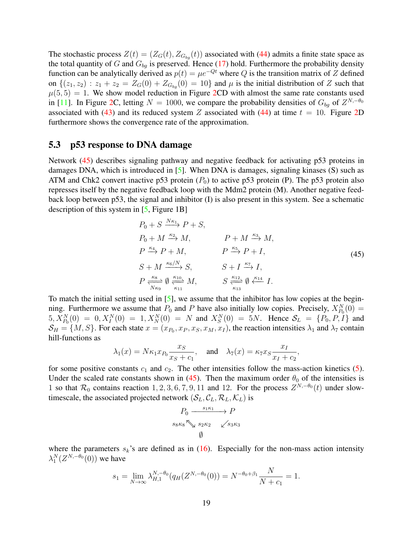The stochastic process  $Z(t) = (Z_G(t), Z_{G_{bg}}(t))$  associated with [\(44\)](#page-17-2) admits a finite state space as the total quantity of G and  $G_{ba}$  is preserved. Hence [\(17\)](#page-7-1) hold. Furthermore the probability density function can be analytically derived as  $p(t) = \mu e^{-Qt}$  where Q is the transition matrix of Z defined on  $\{(z_1, z_2) : z_1 + z_2 = Z_G(0) + Z_{G_{ba}}(0) = 10\}$  and  $\mu$  is the initial distribution of Z such that  $\mu(5, 5) = 1$ . We show model reduction in Figure [2C](#page-19-0)D with almost the same rate constants used in [\[11\]](#page-26-6). In Figure [2C](#page-19-0), letting  $N = 1000$ , we compare the probability densities of  $G_{bg}$  of  $Z^{N,-\theta_0}$ associated with [\(43\)](#page-17-1) and its reduced system Z associated with [\(44\)](#page-17-2) at time  $t = 10$ . Figure [2D](#page-19-0) furthermore shows the convergence rate of the approximation.

#### 5.3 p53 response to DNA damage

Network [\(45\)](#page-18-0) describes signaling pathway and negative feedback for activating p53 proteins in damages DNA, which is introduced in [\[5\]](#page-26-7). When DNA is damages, signaling kinases (S) such as ATM and Chk2 convert inactive p53 protein  $(P_0)$  to active p53 protein (P). The p53 protein also represses itself by the negative feedback loop with the Mdm2 protein (M). Another negative feedback loop between p53, the signal and inhibitor (I) is also present in this system. See a schematic description of this system in [\[5,](#page-26-7) Figure 1B]

<span id="page-18-0"></span>
$$
P_0 + S \xrightarrow{N\kappa_1} P + S,
$$
  
\n
$$
P_0 + M \xrightarrow{\kappa_2} M,
$$
  
\n
$$
P \xrightarrow{\kappa_4} P + M,
$$
  
\n
$$
P \xrightarrow{\kappa_5} P + I,
$$
  
\n
$$
S + M \xrightarrow{\kappa_6/N} S,
$$
  
\n
$$
S + I \xrightarrow{\kappa_7} I,
$$
  
\n
$$
P \xrightarrow{\kappa_8} \emptyset \xrightarrow{\kappa_{10}} M,
$$
  
\n
$$
S \xrightarrow{\kappa_{12}} \emptyset \xleftarrow{\kappa_{14}} I.
$$
  
\n(45)

To match the initial setting used in [\[5\]](#page-26-7), we assume that the inhibitor has low copies at the beginning. Furthermore we assume that  $P_0$  and P have also initially low copies. Precisely,  $X_{P_0}^N(0) =$  $5, X_{P_0}^N(0) = 0, X_I^N(0) = 1, X_N^N(0) = N$  and  $X_S^N(0) = 5N$ . Hence  $S_L = \{P_0, P, I\}$  and  $S_H = \{M, S\}$ . For each state  $x = (x_{P_0}, x_P, x_S, x_M, x_I)$ , the reaction intensities  $\lambda_1$  and  $\lambda_7$  contain hill-functions as

$$
\lambda_1(x) = N\kappa_1 x_{P_0} \frac{x_S}{x_S + c_1}
$$
, and  $\lambda_7(x) = \kappa_7 x_S \frac{x_I}{x_I + c_2}$ ,

for some positive constants  $c_1$  and  $c_2$ . The other intensities follow the mass-action kinetics [\(5\)](#page-3-3). Under the scaled rate constants shown in [\(45\)](#page-18-0). Then the maximum order  $\theta_0$  of the intensities is 1 so that  $\mathcal{R}_0$  contains reaction 1, 2, 3, 6, 7, 9, 11 and 12. For the process  $Z^{N,-\theta_0}(t)$  under slowtimescale, the associated projected network  $(S_L, C_L, \mathcal{R}_L, \mathcal{K}_L)$  is

$$
P_0 \xrightarrow{s_1 \kappa_1} P
$$
  
\n
$$
s_8 \kappa_8 \searrow s_2 \kappa_2 \swarrow s_3 \kappa_3
$$
  
\n
$$
\emptyset
$$

where the parameters  $s_k$ 's are defined as in [\(16\)](#page-6-0). Especially for the non-mass action intensity  $\lambda_1^N(Z^{N,-\theta_0}(0))$  we have

$$
s_1 = \lim_{N \to \infty} \lambda_{H,1}^{N,-\theta_0}(q_H(Z^{N,-\theta_0}(0))) = N^{-\theta_0+\beta_1} \frac{N}{N+c_1} = 1.
$$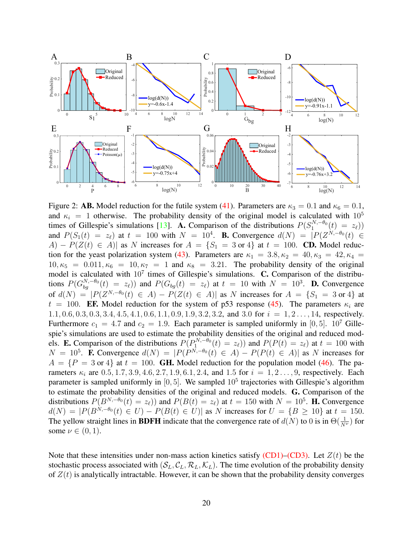<span id="page-19-0"></span>

Figure 2: **AB.** Model reduction for the futile system [\(41\)](#page-16-1). Parameters are  $\kappa_3 = 0.1$  and  $\kappa_6 = 0.1$ , and  $\kappa_i = 1$  otherwise. The probability density of the original model is calculated with  $10^5$ times of Gillespie's simulations [\[13\]](#page-26-8). A. Comparison of the distributions  $P(S_1^{N,-\theta_0}(t) = z_\ell)$ ) and  $P(S_1(t) = z_\ell)$  at  $t = 100$  with  $N = 10^4$ . **B.** Convergence  $d(N) = |P(Z^{N,-\theta_0}(t)| \in$ A) –  $P(Z(t) \in A)$  as N increases for  $A = \{S_1 = 3 \text{ or } 4\}$  at  $t = 100$ . CD. Model reduc-tion for the yeast polarization system [\(43\)](#page-17-1). Parameters are  $\kappa_1 = 3.8, \kappa_2 = 40, \kappa_3 = 42, \kappa_4 = 1$  $10, \kappa_5 = 0.011, \kappa_6 = 10, \kappa_7 = 1$  and  $\kappa_8 = 3.21$ . The probability density of the original model is calculated with  $10^7$  times of Gillespie's simulations. C. Comparison of the distributions  $P(G_{bg}^{N,-\theta_0}(t) = z_\ell)$  and  $P(G_{bg}(t) = z_\ell)$  at  $t = 10$  with  $N = 10^3$ . **D.** Convergence of  $d(N) = |P(Z^{N,-\theta_0}(t) \in A) - P(Z(t) \in A)|$  as N increases for  $A = \{S_1 = 3 \text{ or } 4\}$  at  $t = 100$ . **EF.** Model reduction for the system of p53 response [\(45\)](#page-18-0). The parameters  $\kappa_i$  are  $1.1, 0.6, 0.3, 0.3, 3.4, 4.5, 4.1, 0.6, 1.1, 0.9, 1.9, 3.2, 3.2,$  and 3.0 for  $i = 1, 2, ..., 14$ , respectively. Furthermore  $c_1 = 4.7$  and  $c_2 = 1.9$ . Each parameter is sampled uniformly in [0, 5]. 10<sup>7</sup> Gillespie's simulations are used to estimate the probability densities of the original and reduced models. **E.** Comparison of the distributions  $P(P_1^{N,-\theta_0}(t) = z_\ell)$  and  $P(P(t) = z_\ell)$  at  $t = 100$  with  $N = 10^5$ . **F.** Convergence  $d(N) = |P(P^{N,-\theta_0}(t) \in A) - P(P(t) \in A)|$  as N increases for  $A = \{P = 3 \text{ or } 4\}$  at  $t = 100$ . **GH.** Model reduction for the population model [\(46\)](#page-20-0). The parameters  $\kappa_i$  are  $0.5, 1.7, 3.9, 4.6, 2.7, 1.9, 6.1, 2.4$ , and 1.5 for  $i = 1, 2, ..., 9$ , respectively. Each parameter is sampled uniformly in [0,5]. We sampled  $10^5$  trajectories with Gillespie's algorithm to estimate the probability densities of the original and reduced models. G. Comparison of the distributions  $P(B^{N,-\theta_0}(t) = z_\ell)$  and  $P(B(t) = z_\ell)$  at  $t = 150$  with  $N = 10^5$ . **H.** Convergence  $d(N) = |P(B^{N,-\theta_0}(t) \in U) - P(B(t) \in U)|$  as N increases for  $U = \{B \ge 10\}$  at  $t = 150$ . The yellow straight lines in **BDFH** indicate that the convergence rate of  $d(N)$  to 0 is in  $\Theta(\frac{1}{N^{\nu}})$  for some  $\nu \in (0,1)$ .

Note that these intensities under non-mass action kinetics satisfy  $(CD1)$ – $(CD3)$ . Let  $Z(t)$  be the stochastic process associated with  $(S_L, C_L, \mathcal{R}_L, \mathcal{K}_L)$ . The time evolution of the probability density of  $Z(t)$  is analytically intractable. However, it can be shown that the probability density converges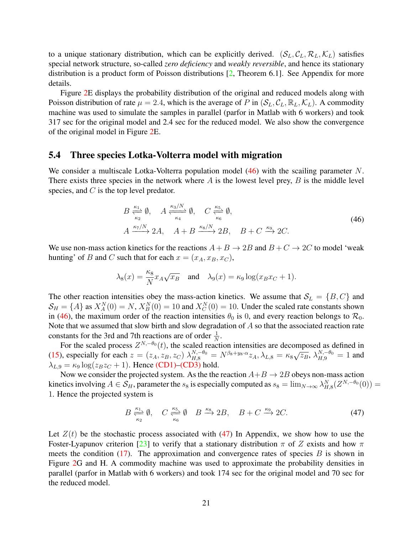to a unique stationary distribution, which can be explicitly derived.  $(S_L, C_L, \mathcal{R}_L, \mathcal{K}_L)$  satisfies special network structure, so-called *zero deficiency* and *weakly reversible*, and hence its stationary distribution is a product form of Poisson distributions [\[2,](#page-26-9) Theorem 6.1]. See Appendix for more details.

Figure [2E](#page-19-0) displays the probability distribution of the original and reduced models along with Poisson distribution of rate  $\mu = 2.4$ , which is the average of P in  $(S_L, C_L, \mathbb{R}_L, \mathcal{K}_L)$ . A commodity machine was used to simulate the samples in parallel (parfor in Matlab with 6 workers) and took 317 sec for the original model and 2.4 sec for the reduced model. We also show the convergence of the original model in Figure [2E](#page-19-0).

### 5.4 Three species Lotka-Volterra model with migration

We consider a multiscale Lotka-Volterra population model  $(46)$  with the scailing parameter N. There exists three species in the network where  $A$  is the lowest level prey,  $B$  is the middle level species, and C is the top level predator.

<span id="page-20-0"></span>
$$
B \xrightarrow[\kappa_2]{\kappa_1} \emptyset, \quad A \xrightarrow[\kappa_4]{\kappa_3/N} \emptyset, \quad C \xrightarrow[\kappa_6]{\kappa_5} \emptyset,
$$
  

$$
A \xrightarrow{\kappa_7/N} 2A, \quad A + B \xrightarrow{\kappa_8/N} 2B, \quad B + C \xrightarrow{\kappa_9} 2C.
$$
 (46)

We use non-mass action kinetics for the reactions  $A + B \rightarrow 2B$  and  $B + C \rightarrow 2C$  to model 'weak hunting' of B and C such that for each  $x = (x_A, x_B, x_C)$ ,

$$
\lambda_8(x) = \frac{\kappa_8}{N} x_A \sqrt{x_B}
$$
 and  $\lambda_9(x) = \kappa_9 \log(x_B x_C + 1)$ .

The other reaction intensities obey the mass-action kinetics. We assume that  $S_L = \{B, C\}$  and  $S_H = \{A\}$  as  $X_A^N(0) = N$ ,  $X_B^N(0) = 10$  and  $X_C^N(0) = 10$ . Under the scaled rate constants shown in [\(46\)](#page-20-0), the maximum order of the reaction intensities  $\theta_0$  is 0, and every reaction belongs to  $\mathcal{R}_0$ . Note that we assumed that slow birth and slow degradation of A so that the associated reaction rate constants for the 3rd and 7th reactions are of order  $\frac{1}{N}$ .

For the scaled process  $Z^{N,-\theta_0}(t)$ , the scaled reaction intensities are decomposed as defined in [\(15\)](#page-6-2), especially for each  $z = (z_A, z_B, z_C) \lambda_{H,8}^{N,-\theta_0} = N^{\beta_8 + y_8 \cdot \alpha} z_A, \lambda_{L,8} = \kappa_8 \sqrt{z_B}, \lambda_{H,9}^{N,-\theta_0} = 1$  and  $\lambda_{L,9} = \kappa_9 \log(z_B z_C + 1)$ . Hence [\(CD1\)](#page-15-2)[–\(CD3\)](#page-15-3) hold.

Now we consider the projected system. As the the reaction  $A+B \rightarrow 2B$  obeys non-mass action kinetics involving  $A \in \mathcal{S}_H$ , parameter the  $s_8$  is especially computed as  $s_8 = \lim_{N \to \infty} \lambda_{H,8}^N (Z^{N,-\theta_0}(0)) =$ 1. Hence the projected system is

<span id="page-20-1"></span>
$$
B \xrightarrow[\kappa_2]{\kappa_1} \emptyset, \quad C \xrightarrow[\kappa_6]{\kappa_5} \emptyset \quad B \xrightarrow{\kappa_8} 2B, \quad B + C \xrightarrow{\kappa_9} 2C. \tag{47}
$$

Let  $Z(t)$  be the stochastic process associated with [\(47\)](#page-20-1) In Appendix, we show how to use the Foster-Lyapunov criterion [\[23\]](#page-27-13) to verify that a stationary distribution  $\pi$  of Z exists and how  $\pi$ meets the condition [\(17\)](#page-7-1). The approximation and convergence rates of species  $B$  is shown in Figure [2G](#page-19-0) and H. A commodity machine was used to approximate the probability densities in parallel (parfor in Matlab with 6 workers) and took 174 sec for the original model and 70 sec for the reduced model.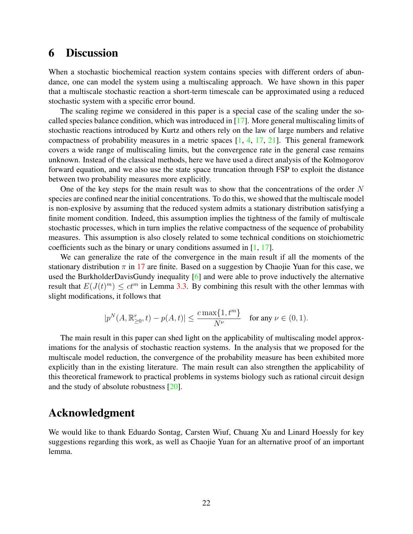### 6 Discussion

When a stochastic biochemical reaction system contains species with different orders of abundance, one can model the system using a multiscaling approach. We have shown in this paper that a multiscale stochastic reaction a short-term timescale can be approximated using a reduced stochastic system with a specific error bound.

The scaling regime we considered in this paper is a special case of the scaling under the socalled species balance condition, which was introduced in [\[17\]](#page-27-2). More general multiscaling limits of stochastic reactions introduced by Kurtz and others rely on the law of large numbers and relative compactness of probability measures in a metric spaces [\[1,](#page-26-3) [4,](#page-26-0) [17,](#page-27-2) [21\]](#page-27-7). This general framework covers a wide range of multiscaling limits, but the convergence rate in the general case remains unknown. Instead of the classical methods, here we have used a direct analysis of the Kolmogorov forward equation, and we also use the state space truncation through FSP to exploit the distance between two probability measures more explicitly.

One of the key steps for the main result was to show that the concentrations of the order  $N$ species are confined near the initial concentrations. To do this, we showed that the multiscale model is non-explosive by assuming that the reduced system admits a stationary distribution satisfying a finite moment condition. Indeed, this assumption implies the tightness of the family of multiscale stochastic processes, which in turn implies the relative compactness of the sequence of probability measures. This assumption is also closely related to some technical conditions on stoichiometric coefficients such as the binary or unary conditions assumed in [\[1,](#page-26-3) [17\]](#page-27-2).

We can generalize the rate of the convergence in the main result if all the moments of the stationary distribution  $\pi$  in [17](#page-7-1) are finite. Based on a suggestion by Chaojie Yuan for this case, we used the BurkholderDavisGundy inequality [\[6\]](#page-26-10) and were able to prove inductively the alternative result that  $E(J(t)^m) \leq ct^m$  in Lemma [3.3.](#page-9-2) By combining this result with the other lemmas with slight modifications, it follows that

$$
|p^N(A,\mathbb{R}_{\geq 0}^r,t) - p(A,t)| \leq \frac{c \max\{1,t^m\}}{N^{\nu}} \quad \text{for any } \nu \in (0,1).
$$

The main result in this paper can shed light on the applicability of multiscaling model approximations for the analysis of stochastic reaction systems. In the analysis that we proposed for the multiscale model reduction, the convergence of the probability measure has been exhibited more explicitly than in the existing literature. The main result can also strengthen the applicability of this theoretical framework to practical problems in systems biology such as rational circuit design and the study of absolute robustness [\[20\]](#page-27-14).

### Acknowledgment

We would like to thank Eduardo Sontag, Carsten Wiuf, Chuang Xu and Linard Hoessly for key suggestions regarding this work, as well as Chaojie Yuan for an alternative proof of an important lemma.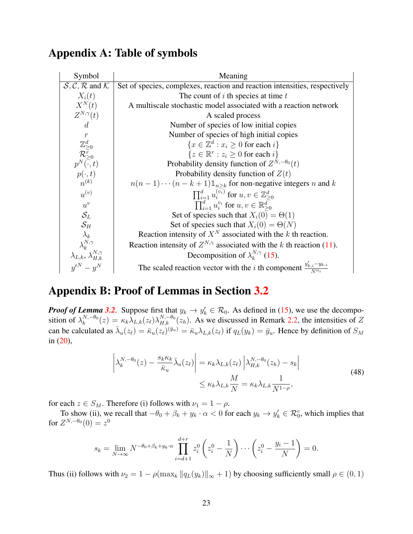# <span id="page-22-0"></span>Appendix A: Table of symbols

| Symbol                                                                   | Meaning                                                                                           |
|--------------------------------------------------------------------------|---------------------------------------------------------------------------------------------------|
| $S, C, R$ and $K$                                                        | Set of species, complexes, reaction and reaction intensities, respectively                        |
| $X_i(t)$                                                                 | The count of $i$ th species at time $t$                                                           |
| $X^N(t)$                                                                 | A multiscale stochastic model associated with a reaction network                                  |
| $Z^{N,\gamma}(t)$                                                        | A scaled process                                                                                  |
| $\overline{d}$                                                           | Number of species of low initial copies                                                           |
| $\boldsymbol{r}$                                                         | Number of species of high initial copies                                                          |
|                                                                          | $\{x \in \mathbb{Z}^d : x_i \geq 0 \text{ for each } i\}$                                         |
| $\frac{\mathbb{Z}_{\geq 0}^d}{\mathcal{R}_{\geq 0}^r}$                   | ${z \in \mathbb{R}^r : z_i \geq 0 \text{ for each } i}$                                           |
| $p^N(\overline{\cdot},t)$                                                | Probability density function of $Z^{N,-\theta_0}(t)$                                              |
| $p(\cdot,t)$                                                             | Probability density function of $Z(t)$                                                            |
| $n^{(k)}$                                                                | $n(n-1)\cdots(n-k+1)\mathbb{1}_{n\geq k}$ for non-negative integers n and k                       |
| $u^{(v)}$                                                                | $\prod_{i=1}^{d} u_i^{(v_i)}$ for $u, v \in \mathbb{Z}_{\geq 0}^d$                                |
| $u^{v}$                                                                  | $\prod_{i=1}^{d} u_i^{v_i}$ for $u, v \in \mathbb{R}_{>0}^d$                                      |
| $\mathcal{S}_L$                                                          | Set of species such that $X_i(0) = \Theta(1)$                                                     |
| $\mathcal{S}_H$                                                          | Set of species such that $X_i(0) = \Theta(N)$                                                     |
| $\lambda_k$                                                              | Reaction intensity of $X^N$ associated with the k th reaction.                                    |
| $\lambda_k^{N,\gamma}$                                                   | Reaction intensity of $Z^{N,\gamma}$ associated with the k th reaction (11).                      |
| $\lambda_{L,k},\overset{\scriptscriptstyle n}{\lambda}_{H,k}^{N,\gamma}$ | Decomposition of $\lambda_k^{N,\gamma}$ (15).                                                     |
| $y' = y^N$                                                               | The scaled reaction vector with the <i>i</i> th component $\frac{y'_{k,i}-y_{k,i}}{N^{\alpha_i}}$ |

# <span id="page-22-1"></span>Appendix B: Proof of Lemmas in Section [3.2](#page-8-1)

*Proof of Lemma* [3.2](#page-9-1). Suppose first that  $y_k \to y'_k \in \mathcal{R}_0$ . As defined in [\(15\)](#page-6-2), we use the decomposition of  $\lambda_k^{N,-\theta_0}$  $k_k^{N,-\theta_0}(z) = \kappa_k \lambda_{L,k}(z_\ell) \lambda_{H,k}^{N,-\theta_0}(z_h)$ . As we discussed in Remark [2.2,](#page-6-3) the intensities of Z can be calculated as  $\bar{\lambda}_u(z_\ell) = \bar{\kappa}_u(z_\ell)^{(\bar{y}_u)} = \bar{\kappa}_u \lambda_{L,k}(z_\ell)$  if  $q_L(y_k) = \bar{y}_u$ . Hence by definition of  $S_M$ in  $(20)$ ,

$$
\left| \lambda_k^{N, -\theta_0}(z) - \frac{s_k \kappa_k}{\bar{\kappa}_u} \bar{\lambda}_u(z_\ell) \right| = \kappa_k \lambda_{L,k}(z_\ell) \left| \lambda_{H,k}^{N, -\theta_0}(z_h) - s_k \right|
$$
\n
$$
\leq \kappa_k \lambda_{L,k} \frac{M}{N} = \kappa_k \lambda_{L,k} \frac{1}{N^{1-\rho}},
$$
\n(48)

for each  $z \in S_M$ . Therefore (i) follows with  $\nu_1 = 1 - \rho$ .

To show (ii), we recall that  $-\theta_0 + \beta_k + y_k \cdot \alpha < 0$  for each  $y_k \to y'_k \in \mathcal{R}_0^c$ , which implies that for  $Z^{N,-\theta_0}(0) = z^0$ 

$$
s_k = \lim_{N \to \infty} N^{-\theta_0 + \beta_k + y_k \cdot \alpha} \prod_{i=d+1}^{d+r} z_i^0 \left( z_i^0 - \frac{1}{N} \right) \cdots \left( z_i^0 - \frac{y_i - 1}{N} \right) = 0.
$$

Thus (ii) follows with  $\nu_2 = 1 - \rho(\max_k ||q_L(y_k)||_{\infty} + 1)$  by choosing sufficiently small  $\rho \in (0, 1)$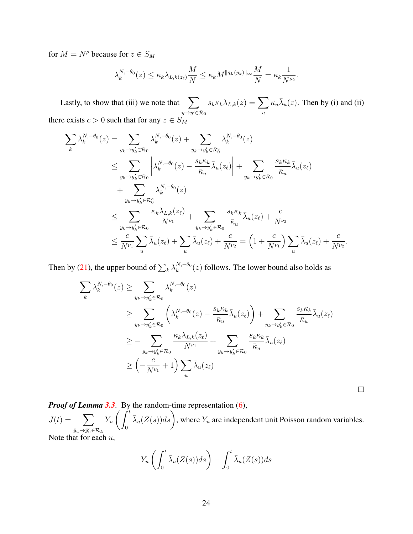for  $M = N^{\rho}$  because for  $z \in S_M$ 

$$
\lambda_k^{N, -\theta_0}(z) \le \kappa_k \lambda_{L, k(z_\ell)} \frac{M}{N} \le \kappa_k M^{\|q_L(y_k)\|_\infty} \frac{M}{N} = \kappa_k \frac{1}{N^{\nu_2}}.
$$

Lastly, to show that (iii) we note that  $\sum$  $y \rightarrow y' \in \mathcal{R}_0$  $s_k \kappa_k \lambda_{L,k}(z) = \sum \limits$ u  $\kappa_u \bar{\lambda}_u(z)$ . Then by (i) and (ii) there exists  $c > 0$  such that for any  $z \in S_M$ 

$$
\sum_{k} \lambda_{k}^{N,-\theta_{0}}(z) = \sum_{y_{k}\to y_{k}' \in \mathcal{R}_{0}} \lambda_{k}^{N,-\theta_{0}}(z) + \sum_{y_{k}\to y_{k}' \in \mathcal{R}_{0}^{c}} \lambda_{k}^{N,-\theta_{0}}(z)
$$
\n
$$
\leq \sum_{y_{k}\to y_{k}' \in \mathcal{R}_{0}} \left| \lambda_{k}^{N,-\theta_{0}}(z) - \frac{s_{k}\kappa_{k}}{\bar{\kappa}_{u}} \bar{\lambda}_{u}(z_{\ell}) \right| + \sum_{y_{k}\to y_{k}' \in \mathcal{R}_{0}} \frac{s_{k}\kappa_{k}}{\bar{\kappa}_{u}} \bar{\lambda}_{u}(z_{\ell})
$$
\n
$$
+ \sum_{y_{k}\to y_{k}' \in \mathcal{R}_{0}^{c}} \lambda_{k}^{N,-\theta_{0}}(z)
$$
\n
$$
\leq \sum_{y_{k}\to y_{k}' \in \mathcal{R}_{0}} \frac{\kappa_{k}\lambda_{L,k}(z_{\ell})}{N^{\nu_{1}}} + \sum_{y_{k}\to y_{k}' \in \mathcal{R}_{0}} \frac{s_{k}\kappa_{k}}{\bar{\kappa}_{u}} \bar{\lambda}_{u}(z_{\ell}) + \frac{c}{N^{\nu_{2}}}
$$
\n
$$
\leq \frac{c}{N^{\nu_{1}}} \sum_{u} \bar{\lambda}_{u}(z_{\ell}) + \sum_{u} \bar{\lambda}_{u}(z_{\ell}) + \frac{c}{N^{\nu_{2}}} = \left(1 + \frac{c}{N^{\nu_{1}}} \right) \sum_{u} \bar{\lambda}_{u}(z_{\ell}) + \frac{c}{N^{\nu_{2}}}.
$$

Then by [\(21\)](#page-10-3), the upper bound of  $\sum_{k} \lambda_k^{N, -\theta_0}$  $\binom{N, -\theta_0}{k}(z)$  follows. The lower bound also holds as

$$
\sum_{k} \lambda_{k}^{N,-\theta_{0}}(z) \geq \sum_{y_{k}\to y_{k}' \in \mathcal{R}_{0}} \lambda_{k}^{N,-\theta_{0}}(z)
$$
\n
$$
\geq \sum_{y_{k}\to y_{k}' \in \mathcal{R}_{0}} \left( \lambda_{k}^{N,-\theta_{0}}(z) - \frac{s_{k}\kappa_{k}}{\bar{\kappa}_{u}} \bar{\lambda}_{u}(z_{\ell}) \right) + \sum_{y_{k}\to y_{k}' \in \mathcal{R}_{0}} \frac{s_{k}\kappa_{k}}{\bar{\kappa}_{u}} \bar{\lambda}_{u}(z_{\ell})
$$
\n
$$
\geq - \sum_{y_{k}\to y_{k}' \in \mathcal{R}_{0}} \frac{\kappa_{k}\lambda_{L,k}(z_{\ell})}{N^{\nu_{1}}} + \sum_{y_{k}\to y_{k}' \in \mathcal{R}_{0}} \frac{s_{k}\kappa_{k}}{\bar{\kappa}_{u}} \bar{\lambda}_{u}(z_{\ell})
$$
\n
$$
\geq \left( -\frac{c}{N^{\nu_{1}}} + 1 \right) \sum_{u} \bar{\lambda}_{u}(z_{\ell})
$$

 $\Box$ 

*Proof of Lemma [3.3](#page-9-2).* By the random-time representation [\(6\)](#page-3-1),  $J(t) = \sum$  $\bar{y}_u \rightarrow \bar{y}'_u \in \mathcal{R}_L$  $Y_u$  $\int \dot{f}^t$ 0  $\bar{\lambda}_u(Z(s))ds$ , where  $Y_u$  are independent unit Poisson random variables. Note that for each  $u$ ,

$$
Y_u\left(\int_0^t \bar{\lambda}_u(Z(s))ds\right) - \int_0^t \bar{\lambda}_u(Z(s))ds
$$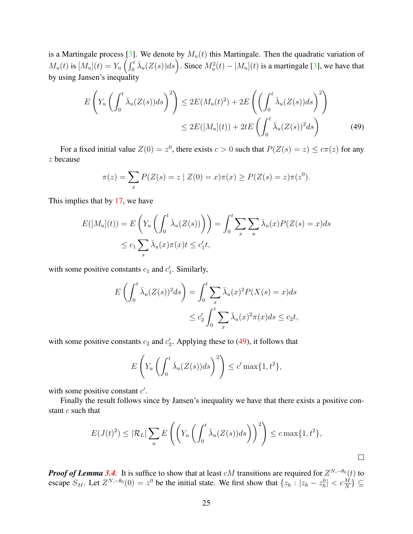is a Martingale process [\[3\]](#page-26-11). We denote by  $M_u(t)$  this Martingale. Then the quadratic variation of  $M_u(t)$  is  $[M_u](t) = Y_u \left( \int_0^t \bar{\lambda}_u(Z(s))ds \right)$ . Since  $M_u^2(t) - [M_u](t)$  is a martingale [\[3\]](#page-26-11), we have that by using Jansen's inequality

$$
E\left(Y_u\left(\int_0^t \bar{\lambda}_u(Z(s))ds\right)^2\right) \le 2E(M_u(t)^2) + 2E\left(\left(\int_0^t \bar{\lambda}_u(Z(s))ds\right)^2\right)
$$
  

$$
\le 2E([M_u](t)) + 2tE\left(\int_0^t \bar{\lambda}_u(Z(s))^2ds\right)
$$
(49)

For a fixed initial value  $Z(0) = z^0$ , there exists  $c > 0$  such that  $P(Z(s) = z) \le c\pi(z)$  for any z because

<span id="page-24-0"></span>
$$
\pi(z) = \sum_{x} P(Z(s) = z \mid Z(0) = x)\pi(x) \ge P(Z(s) = z)\pi(z^{0}).
$$

This implies that by [17,](#page-7-1) we have

$$
E([M_u](t)) = E\left(Y_u\left(\int_0^t \bar{\lambda}_u(Z(s))\right)\right) = \int_0^t \sum_x \sum_u \bar{\lambda}_u(x)P(Z(s) = x)ds
$$
  

$$
\leq c_1 \sum_x \bar{\lambda}_u(x)\pi(x)t \leq c'_1t,
$$

with some positive constants  $c_1$  and  $c'_1$ . Similarly,

$$
E\left(\int_0^t \bar{\lambda}_u(Z(s))^2 ds\right) = \int_0^t \sum_x \bar{\lambda}_u(x)^2 P(X(s) = x) ds
$$
  
 
$$
\leq c_2' \int_0^t \sum_x \bar{\lambda}_u(x)^2 \pi(x) ds \leq c_2 t,
$$

with some positive constants  $c_2$  and  $c'_2$ . Applying these to [\(49\)](#page-24-0), it follows that

$$
E\left(Y_u\left(\int_0^t \bar{\lambda}_u(Z(s))ds\right)^2\right) \le c' \max\{1,t^2\},\
$$

with some positive constant  $c'$ .

Finally the result follows since by Jansen's inequality we have that there exists a positive constant  $c$  such that

$$
E(J(t)^{2}) \leq |\mathcal{R}_{L}| \sum_{u} E\left(\left(Y_{u}\left(\int_{0}^{t} \bar{\lambda}_{u}(Z(s))ds\right)\right)^{2}\right) \leq c \max\{1, t^{2}\},\
$$

 $\Box$ 

*Proof of Lemma* [3.4](#page-10-1). It is suffice to show that at least  $cM$  transitions are required for  $Z^{N,-\theta_0}(t)$  to escape  $S_M$ . Let  $Z^{N,-\theta_0}(0) = z^0$  be the initial state. We first show that  $\{z_h : |z_h - z_h^0| < c \frac{M}{N}\}\subseteq$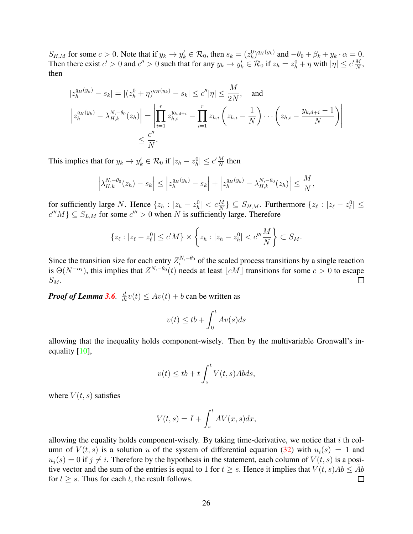$S_{H,M}$  for some  $c > 0$ . Note that if  $y_k \to y'_k \in \mathcal{R}_0$ , then  $s_k = (z^0_k)^{q_H(y_k)}$  and  $-\theta_0 + \beta_k + y_k \cdot \alpha = 0$ . Then there exist  $c' > 0$  and  $c'' > 0$  such that for any  $y_k \to y'_k \in \mathcal{R}_0$  if  $z_h = z_h^0 + \eta$  with  $|\eta| \le c' \frac{M}{N}$  $\frac{M}{N}$ , then

$$
|z_h^{q_H(y_k)} - s_k| = |(z_h^0 + \eta)^{q_H(y_k)} - s_k| \le c''|\eta| \le \frac{M}{2N}, \text{ and}
$$
  

$$
\left| z_h^{q_H(y_k)} - \lambda_{H,k}^{N, -\theta_0}(z_h) \right| = \left| \prod_{i=1}^r z_{h,i}^{y_{k,d+i}} - \prod_{i=1}^r z_{h,i} \left( z_{h,i} - \frac{1}{N} \right) \cdots \left( z_{h,i} - \frac{y_{k,d+i} - 1}{N} \right) \right|
$$
  

$$
\le \frac{c''}{N}.
$$

This implies that for  $y_k \to y'_k \in \mathcal{R}_0$  if  $|z_h - z_h^0| \le c' \frac{M}{N}$  $\frac{M}{N}$  then

$$
\left|\lambda_{H,k}^{N,-\theta_0}(z_h)-s_k\right| \leq \left|z_h^{q_H(y_k)}-s_k\right|+\left|z_h^{q_H(y_k)}-\lambda_{H,k}^{N,-\theta_0}(z_h)\right| \leq \frac{M}{N},
$$

for sufficiently large N. Hence  $\{z_h : |z_h - z_h^0| < c \frac{M}{N} \} \subseteq S_{H,M}$ . Furthermore  $\{z_\ell : |z_\ell - z_\ell^0| \leq$  $c^{m}M$ }  $\subseteq S_{L,M}$  for some  $c^{m} > 0$  when N is sufficiently large. Therefore

$$
\{z_{\ell}: |z_{\ell}-z_{\ell}^0| \le c'M\} \times \left\{z_h: |z_h-z_h^0| < c'''\frac{M}{N}\right\} \subset S_M.
$$

Since the transition size for each entry  $Z_i^{N,-\theta_0}$  $i^{N,-\theta_0}$  of the scaled process transitions by a single reaction is  $\Theta(N^{-\alpha_i})$ , this implies that  $Z^{N,-\theta_0}(t)$  needs at least  $\lfloor cM \rfloor$  transitions for some  $c > 0$  to escape  $S_M$ .  $\Box$ 

*Proof of Lemma* **[3.6](#page-12-3).**  $\frac{d}{dt}v(t) \le Av(t) + b$  can be written as

$$
v(t) \le tb + \int_0^t Av(s)ds
$$

allowing that the inequality holds component-wisely. Then by the multivariable Gronwall's inequality [\[10\]](#page-26-12),

$$
v(t) \le tb + t \int_s^t V(t, s) Ab ds,
$$

where  $V(t, s)$  satisfies

$$
V(t,s) = I + \int_{s}^{t} AV(x,s)dx,
$$

allowing the equality holds component-wisely. By taking time-derivative, we notice that  $i$  th column of  $V(t, s)$  is a solution u of the system of differential equation [\(32\)](#page-12-4) with  $u_i(s) = 1$  and  $u_i(s) = 0$  if  $j \neq i$ . Therefore by the hypothesis in the statement, each column of  $V(t, s)$  is a positive vector and the sum of the entries is equal to 1 for  $t \geq s$ . Hence it implies that  $V(t, s)Ab \leq \overline{Ab}$ for  $t \geq s$ . Thus for each t, the result follows.  $\Box$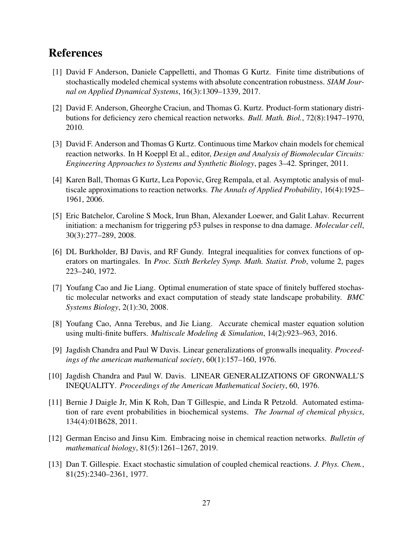# References

- <span id="page-26-3"></span>[1] David F Anderson, Daniele Cappelletti, and Thomas G Kurtz. Finite time distributions of stochastically modeled chemical systems with absolute concentration robustness. *SIAM Journal on Applied Dynamical Systems*, 16(3):1309–1339, 2017.
- <span id="page-26-9"></span>[2] David F. Anderson, Gheorghe Craciun, and Thomas G. Kurtz. Product-form stationary distributions for deficiency zero chemical reaction networks. *Bull. Math. Biol.*, 72(8):1947–1970, 2010.
- <span id="page-26-11"></span>[3] David F. Anderson and Thomas G Kurtz. Continuous time Markov chain models for chemical reaction networks. In H Koeppl Et al., editor, *Design and Analysis of Biomolecular Circuits: Engineering Approaches to Systems and Synthetic Biology*, pages 3–42. Springer, 2011.
- <span id="page-26-0"></span>[4] Karen Ball, Thomas G Kurtz, Lea Popovic, Greg Rempala, et al. Asymptotic analysis of multiscale approximations to reaction networks. *The Annals of Applied Probability*, 16(4):1925– 1961, 2006.
- <span id="page-26-7"></span>[5] Eric Batchelor, Caroline S Mock, Irun Bhan, Alexander Loewer, and Galit Lahav. Recurrent initiation: a mechanism for triggering p53 pulses in response to dna damage. *Molecular cell*, 30(3):277–289, 2008.
- <span id="page-26-10"></span>[6] DL Burkholder, BJ Davis, and RF Gundy. Integral inequalities for convex functions of operators on martingales. In *Proc. Sixth Berkeley Symp. Math. Statist. Prob*, volume 2, pages 223–240, 1972.
- <span id="page-26-1"></span>[7] Youfang Cao and Jie Liang. Optimal enumeration of state space of finitely buffered stochastic molecular networks and exact computation of steady state landscape probability. *BMC Systems Biology*, 2(1):30, 2008.
- <span id="page-26-2"></span>[8] Youfang Cao, Anna Terebus, and Jie Liang. Accurate chemical master equation solution using multi-finite buffers. *Multiscale Modeling & Simulation*, 14(2):923–963, 2016.
- <span id="page-26-5"></span>[9] Jagdish Chandra and Paul W Davis. Linear generalizations of gronwalls inequality. *Proceedings of the american mathematical society*, 60(1):157–160, 1976.
- <span id="page-26-12"></span>[10] Jagdish Chandra and Paul W. Davis. LINEAR GENERALIZATIONS OF GRONWALL'S INEQUALITY. *Proceedings of the American Mathematical Society*, 60, 1976.
- <span id="page-26-6"></span>[11] Bernie J Daigle Jr, Min K Roh, Dan T Gillespie, and Linda R Petzold. Automated estimation of rare event probabilities in biochemical systems. *The Journal of chemical physics*, 134(4):01B628, 2011.
- <span id="page-26-4"></span>[12] German Enciso and Jinsu Kim. Embracing noise in chemical reaction networks. *Bulletin of mathematical biology*, 81(5):1261–1267, 2019.
- <span id="page-26-8"></span>[13] Dan T. Gillespie. Exact stochastic simulation of coupled chemical reactions. *J. Phys. Chem.*, 81(25):2340–2361, 1977.